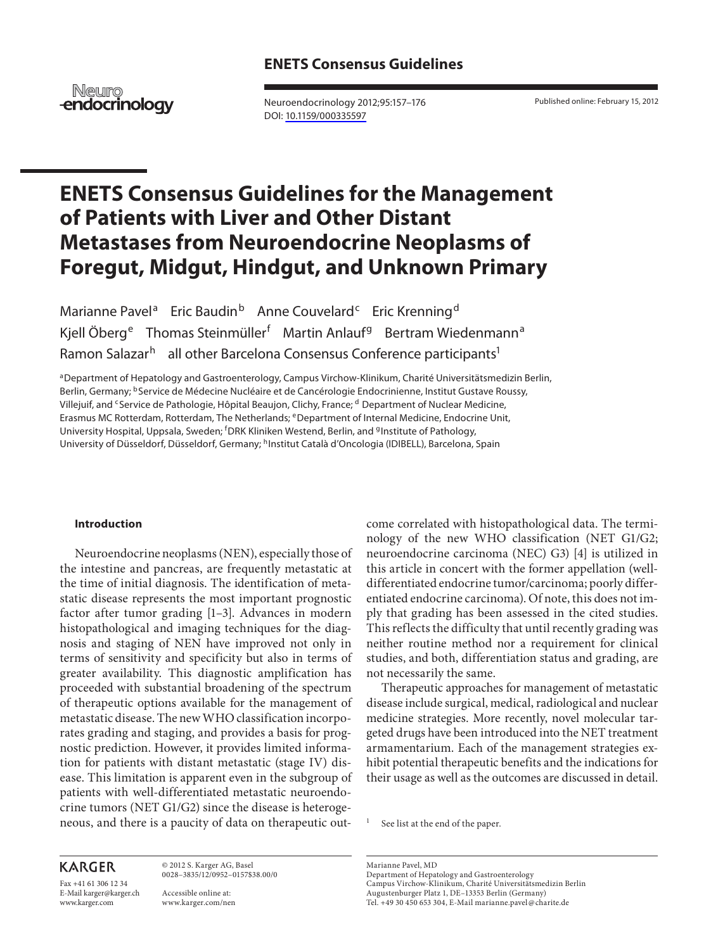## **ENETS Consensus Guidelines**

**Neuro** endocrinology

 Neuroendocrinology 2012;95:157–176 DOI: [10.1159/000335597](http://dx.doi.org/10.1159%2F000335597)

Published online: February 15, 2012

# **ENETS Consensus Guidelines for the Management of Patients with Liver and Other Distant Metastases from Neuroendocrine Neoplasms of Foregut, Midgut, Hindgut, and Unknown Primary**

Marianne Pavel<sup>a</sup> Eric Baudin<sup>b</sup> Anne Couvelard<sup>c</sup> Eric Krenning<sup>d</sup> Kjell Öberg<sup>e</sup> Thomas Steinmüller<sup>f</sup> Martin Anlauf<sup>g</sup> Bertram Wiedenmann<sup>a</sup> Ramon Salazar<sup>h</sup> all other Barcelona Consensus Conference participants<sup>1</sup>

a Department of Hepatology and Gastroenterology, Campus Virchow-Klinikum, Charité Universitätsmedizin Berlin, Berlin, Germany; <sup>b</sup> Service de Médecine Nucléaire et de Cancérologie Endocrinienne, Institut Gustave Roussy, Villejuif, and <sup>c</sup> Service de Pathologie, Hôpital Beaujon, Clichy, France; <sup>d</sup> Department of Nuclear Medicine, Erasmus MC Rotterdam, Rotterdam, The Netherlands; <sup>e</sup> Department of Internal Medicine, Endocrine Unit, University Hospital, Uppsala, Sweden; <sup>f</sup>DRK Kliniken Westend, Berlin, and <sup>g</sup>Institute of Pathology, University of Düsseldorf, Düsseldorf, Germany; h Institut Català d'Oncologia (IDIBELL), Barcelona, Spain

#### **Introduction**

 Neuroendocrine neoplasms (NEN), especially those of the intestine and pancreas, are frequently metastatic at the time of initial diagnosis. The identification of metastatic disease represents the most important prognostic factor after tumor grading [1–3]. Advances in modern histopathological and imaging techniques for the diagnosis and staging of NEN have improved not only in terms of sensitivity and specificity but also in terms of greater availability. This diagnostic amplification has proceeded with substantial broadening of the spectrum of therapeutic options available for the management of metastatic disease. The new WHO classification incorporates grading and staging, and provides a basis for prognostic prediction. However, it provides limited information for patients with distant metastatic (stage IV) disease. This limitation is apparent even in the subgroup of patients with well-differentiated metastatic neuroendocrine tumors (NET G1/G2) since the disease is heterogeneous, and there is a paucity of data on therapeutic outcome correlated with histopathological data. The terminology of the new WHO classification (NET G1/G2; neuroendocrine carcinoma (NEC) G3) [4] is utilized in this article in concert with the former appellation (welldifferentiated endocrine tumor/carcinoma; poorly differentiated endocrine carcinoma). Of note, this does not imply that grading has been assessed in the cited studies. This reflects the difficulty that until recently grading was neither routine method nor a requirement for clinical studies, and both, differentiation status and grading, are not necessarily the same.

 Therapeutic approaches for management of metastatic disease include surgical, medical, radiological and nuclear medicine strategies. More recently, novel molecular targeted drugs have been introduced into the NET treatment armamentarium. Each of the management strategies exhibit potential therapeutic benefits and the indications for their usage as well as the outcomes are discussed in detail.

<sup>1</sup> See list at the end of the paper.

#### Marianne Pavel, MD Department of Hepatology and Gastroenterology Campus Virchow-Klinikum, Charité Universitätsmedizin Berlin Augustenburger Platz 1, DE–13353 Berlin (Germany) Tel. +49 30 450 653 304, E-Mail marianne.pavel @ charite.de

Fax +41 61 306 12 34 E-Mail karger@karger.ch www.karger.com

**KARGER** 

 © 2012 S. Karger AG, Basel 0028–3835/12/0952–0157\$38.00/0

 Accessible online at: www.karger.com/nen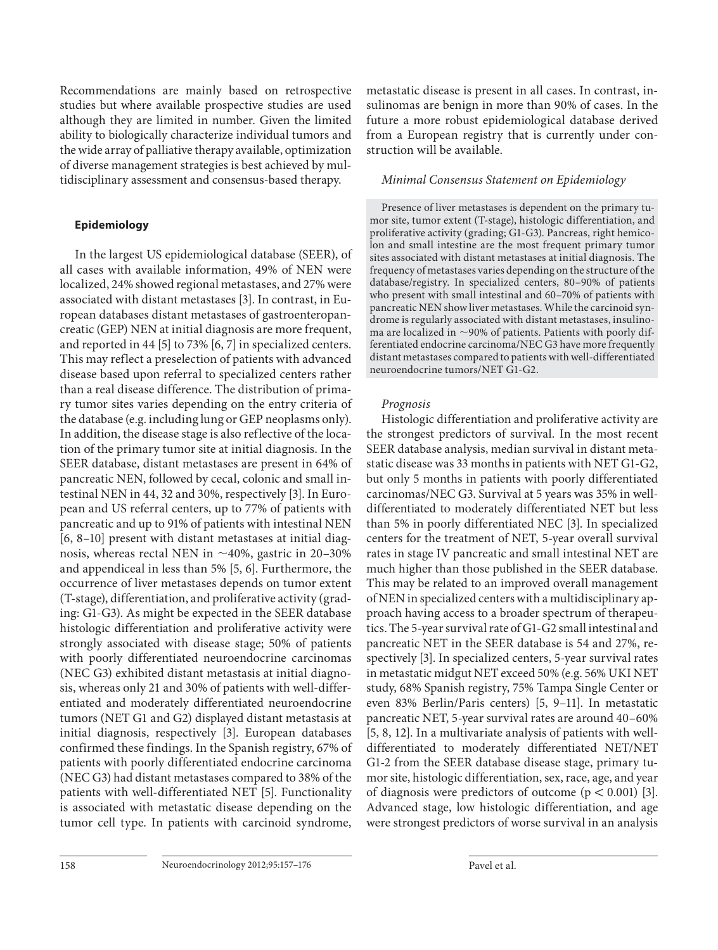Recommendations are mainly based on retrospective studies but where available prospective studies are used although they are limited in number. Given the limited ability to biologically characterize individual tumors and the wide array of palliative therapy available, optimization of diverse management strategies is best achieved by multidisciplinary assessment and consensus-based therapy.

## **Epidemiology**

 In the largest US epidemiological database (SEER), of all cases with available information, 49% of NEN were localized, 24% showed regional metastases, and 27% were associated with distant metastases [3] . In contrast, in European databases distant metastases of gastroenteropancreatic (GEP) NEN at initial diagnosis are more frequent, and reported in 44 [5] to 73% [6, 7] in specialized centers. This may reflect a preselection of patients with advanced disease based upon referral to specialized centers rather than a real disease difference. The distribution of primary tumor sites varies depending on the entry criteria of the database (e.g. including lung or GEP neoplasms only). In addition, the disease stage is also reflective of the location of the primary tumor site at initial diagnosis. In the SEER database, distant metastases are present in 64% of pancreatic NEN, followed by cecal, colonic and small intestinal NEN in 44, 32 and 30%, respectively [3]. In European and US referral centers, up to 77% of patients with pancreatic and up to 91% of patients with intestinal NEN [6, 8–10] present with distant metastases at initial diagnosis, whereas rectal NEN in  $\sim$ 40%, gastric in 20-30% and appendiceal in less than 5% [5, 6]. Furthermore, the occurrence of liver metastases depends on tumor extent (T-stage), differentiation, and proliferative activity (grading: G1-G3). As might be expected in the SEER database histologic differentiation and proliferative activity were strongly associated with disease stage; 50% of patients with poorly differentiated neuroendocrine carcinomas (NEC G3) exhibited distant metastasis at initial diagnosis, whereas only 21 and 30% of patients with well-differentiated and moderately differentiated neuroendocrine tumors (NET G1 and G2) displayed distant metastasis at initial diagnosis, respectively [3]. European databases confirmed these findings. In the Spanish registry, 67% of patients with poorly differentiated endocrine carcinoma (NEC G3) had distant metastases compared to 38% of the patients with well-differentiated NET [5]. Functionality is associated with metastatic disease depending on the tumor cell type. In patients with carcinoid syndrome,

metastatic disease is present in all cases. In contrast, insulinomas are benign in more than 90% of cases. In the future a more robust epidemiological database derived from a European registry that is currently under construction will be available.

## *Minimal Consensus Statement on Epidemiology*

 Presence of liver metastases is dependent on the primary tumor site, tumor extent (T-stage), histologic differentiation, and proliferative activity (grading; G1-G3). Pancreas, right hemicolon and small intestine are the most frequent primary tumor sites associated with distant metastases at initial diagnosis. The frequency of metastases varies depending on the structure of the database/registry. In specialized centers, 80–90% of patients who present with small intestinal and 60–70% of patients with pancreatic NEN show liver metastases. While the carcinoid syndrome is regularly associated with distant metastases, insulinoma are localized in  ${\sim}$ 90% of patients. Patients with poorly differentiated endocrine carcinoma/NEC G3 have more frequently distant metastases compared to patients with well-differentiated neuroendocrine tumors/NET G1-G2.

## *Prognosis*

 Histologic differentiation and proliferative activity are the strongest predictors of survival. In the most recent SEER database analysis, median survival in distant metastatic disease was 33 months in patients with NET G1-G2, but only 5 months in patients with poorly differentiated carcinomas/NEC G3. Survival at 5 years was 35% in welldifferentiated to moderately differentiated NET but less than 5% in poorly differentiated NEC [3]. In specialized centers for the treatment of NET, 5-year overall survival rates in stage IV pancreatic and small intestinal NET are much higher than those published in the SEER database. This may be related to an improved overall management of NEN in specialized centers with a multidisciplinary approach having access to a broader spectrum of therapeutics. The 5-year survival rate of G1-G2 small intestinal and pancreatic NET in the SEER database is 54 and 27%, respectively [3]. In specialized centers, 5-year survival rates in metastatic midgut NET exceed 50% (e.g. 56% UKI NET study, 68% Spanish registry, 75% Tampa Single Center or even 83% Berlin/Paris centers) [5, 9-11]. In metastatic pancreatic NET, 5-year survival rates are around 40–60% [5, 8, 12]. In a multivariate analysis of patients with welldifferentiated to moderately differentiated NET/NET G1-2 from the SEER database disease stage, primary tumor site, histologic differentiation, sex, race, age, and year of diagnosis were predictors of outcome  $(p < 0.001)$  [3]. Advanced stage, low histologic differentiation, and age were strongest predictors of worse survival in an analysis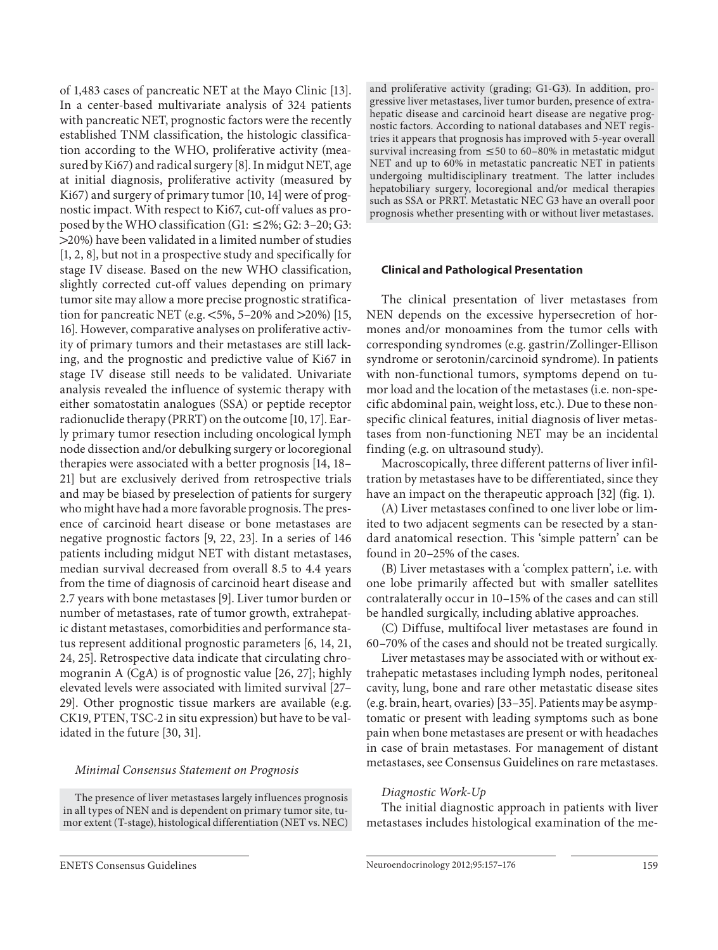of 1,483 cases of pancreatic NET at the Mayo Clinic [13] . In a center-based multivariate analysis of 324 patients with pancreatic NET, prognostic factors were the recently established TNM classification, the histologic classification according to the WHO, proliferative activity (measured by Ki67) and radical surgery [8] . In midgut NET, age at initial diagnosis, proliferative activity (measured by Ki67) and surgery of primary tumor [10, 14] were of prognostic impact. With respect to Ki67, cut-off values as proposed by the WHO classification (G1:  $\leq$ 2%; G2: 3–20; G3: 1 20%) have been validated in a limited number of studies [1, 2, 8], but not in a prospective study and specifically for stage IV disease. Based on the new WHO classification, slightly corrected cut-off values depending on primary tumor site may allow a more precise prognostic stratification for pancreatic NET (e.g.  $\langle 5\%, 5-20\% \rangle$  and  $>20\%$ ) [15, 16]. However, comparative analyses on proliferative activity of primary tumors and their metastases are still lacking, and the prognostic and predictive value of Ki67 in stage IV disease still needs to be validated. Univariate analysis revealed the influence of systemic therapy with either somatostatin analogues (SSA) or peptide receptor radionuclide therapy (PRRT) on the outcome [10, 17] . Early primary tumor resection including oncological lymph node dissection and/or debulking surgery or locoregional therapies were associated with a better prognosis [14, 18– 21] but are exclusively derived from retrospective trials and may be biased by preselection of patients for surgery who might have had a more favorable prognosis. The presence of carcinoid heart disease or bone metastases are negative prognostic factors [9, 22, 23]. In a series of 146 patients including midgut NET with distant metastases, median survival decreased from overall 8.5 to 4.4 years from the time of diagnosis of carcinoid heart disease and 2.7 years with bone metastases [9]. Liver tumor burden or number of metastases, rate of tumor growth, extrahepatic distant metastases, comorbidities and performance status represent additional prognostic parameters [6, 14, 21, 24, 25]. Retrospective data indicate that circulating chromogranin A (CgA) is of prognostic value [26, 27]; highly elevated levels were associated with limited survival [27– 29]. Other prognostic tissue markers are available (e.g. CK19, PTEN, TSC-2 in situ expression) but have to be validated in the future [30, 31].

### *Minimal Consensus Statement on Prognosis*

and proliferative activity (grading; G1-G3). In addition, progressive liver metastases, liver tumor burden, presence of extrahepatic disease and carcinoid heart disease are negative prognostic factors. According to national databases and NET registries it appears that prognosis has improved with 5-year overall survival increasing from  $\leq 50$  to 60–80% in metastatic midgut NET and up to 60% in metastatic pancreatic NET in patients undergoing multidisciplinary treatment. The latter includes hepatobiliary surgery, locoregional and/or medical therapies such as SSA or PRRT. Metastatic NEC G3 have an overall poor prognosis whether presenting with or without liver metastases.

#### **Clinical and Pathological Presentation**

 The clinical presentation of liver metastases from NEN depends on the excessive hypersecretion of hormones and/or monoamines from the tumor cells with corresponding syndromes (e.g. gastrin/Zollinger-Ellison syndrome or serotonin/carcinoid syndrome). In patients with non-functional tumors, symptoms depend on tumor load and the location of the metastases (i.e. non-specific abdominal pain, weight loss, etc.). Due to these nonspecific clinical features, initial diagnosis of liver metastases from non-functioning NET may be an incidental finding (e.g. on ultrasound study).

 Macroscopically, three different patterns of liver infiltration by metastases have to be differentiated, since they have an impact on the therapeutic approach [32] (fig. 1).

 (A) Liver metastases confined to one liver lobe or limited to two adjacent segments can be resected by a standard anatomical resection. This 'simple pattern' can be found in 20–25% of the cases.

 (B) Liver metastases with a 'complex pattern', i.e. with one lobe primarily affected but with smaller satellites contralaterally occur in 10–15% of the cases and can still be handled surgically, including ablative approaches.

 (C) Diffuse, multifocal liver metastases are found in 60–70% of the cases and should not be treated surgically.

 Liver metastases may be associated with or without extrahepatic metastases including lymph nodes, peritoneal cavity, lung, bone and rare other metastatic disease sites (e.g. brain, heart, ovaries) [33–35] . Patients may be asymptomatic or present with leading symptoms such as bone pain when bone metastases are present or with headaches in case of brain metastases. For management of distant metastases, see Consensus Guidelines on rare metastases.

#### *Diagnostic Work-Up*

 The initial diagnostic approach in patients with liver metastases includes histological examination of the me-

The presence of liver metastases largely influences prognosis in all types of NEN and is dependent on primary tumor site, tumor extent (T-stage), histological differentiation (NET vs. NEC)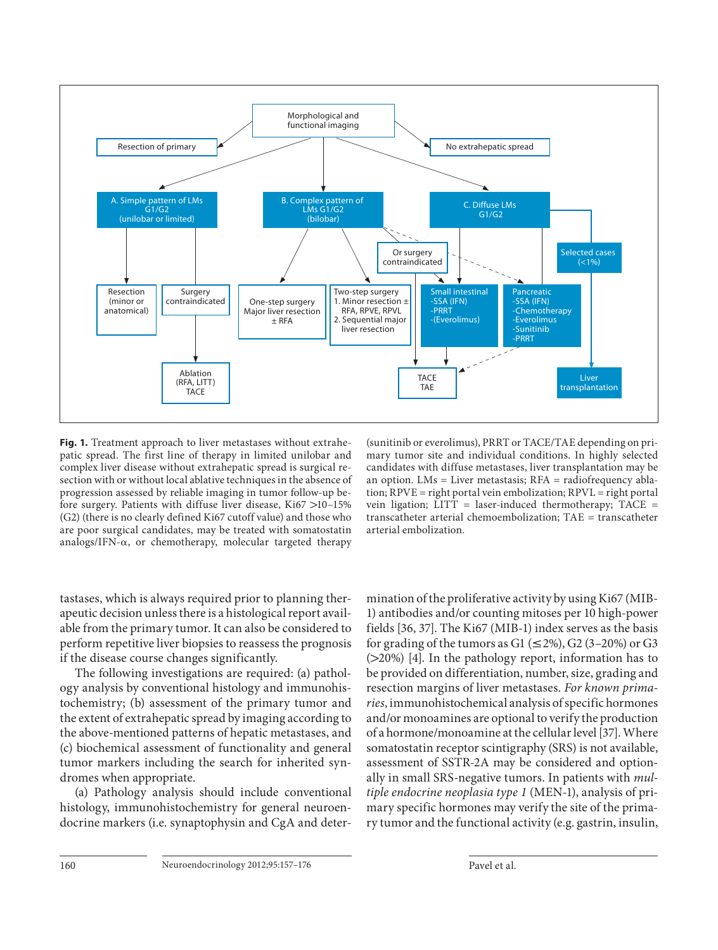

**Fig. 1.** Treatment approach to liver metastases without extrahepatic spread. The first line of therapy in limited unilobar and complex liver disease without extrahepatic spread is surgical resection with or without local ablative techniques in the absence of progression assessed by reliable imaging in tumor follow-up before surgery. Patients with diffuse liver disease, Ki $67 > 10 - 15\%$ (G2) (there is no clearly defined Ki67 cutoff value) and those who are poor surgical candidates, may be treated with somatostatin analogs/IFN- $\alpha$ , or chemotherapy, molecular targeted therapy

(sunitinib or everolimus), PRRT or TACE/TAE depending on primary tumor site and individual conditions. In highly selected candidates with diffuse metastases, liver transplantation may be an option. LMs = Liver metastasis; RFA = radiofrequency ablation; RPVE = right portal vein embolization; RPVL = right portal vein ligation;  $LITT = laser-induced thermotherapy$ ;  $TACE =$ transcatheter arterial chemoembolization; TAE = transcatheter arterial embolization.

tastases, which is always required prior to planning therapeutic decision unless there is a histological report available from the primary tumor. It can also be considered to perform repetitive liver biopsies to reassess the prognosis if the disease course changes significantly.

 The following investigations are required: (a) pathology analysis by conventional histology and immunohistochemistry; (b) assessment of the primary tumor and the extent of extrahepatic spread by imaging according to the above-mentioned patterns of hepatic metastases, and (c) biochemical assessment of functionality and general tumor markers including the search for inherited syndromes when appropriate.

 (a) Pathology analysis should include conventional histology, immunohistochemistry for general neuroendocrine markers (i.e. synaptophysin and CgA and determination of the proliferative activity by using Ki67 (MIB-1) antibodies and/or counting mitoses per 10 high-power fields [36, 37]. The Ki67 (MIB-1) index serves as the basis for grading of the tumors as G1 ( $\leq$ 2%), G2 (3–20%) or G3  $($ >20%) [4]. In the pathology report, information has to be provided on differentiation, number, size, grading and resection margins of liver metastases. *For known primaries* , immunohistochemical analysis of specific hormones and/or monoamines are optional to verify the production of a hormone/monoamine at the cellular level [37] . Where somatostatin receptor scintigraphy (SRS) is not available, assessment of SSTR-2A may be considered and optionally in small SRS-negative tumors. In patients with *multiple endocrine neoplasia type 1* (MEN-1), analysis of primary specific hormones may verify the site of the primary tumor and the functional activity (e.g. gastrin, insulin,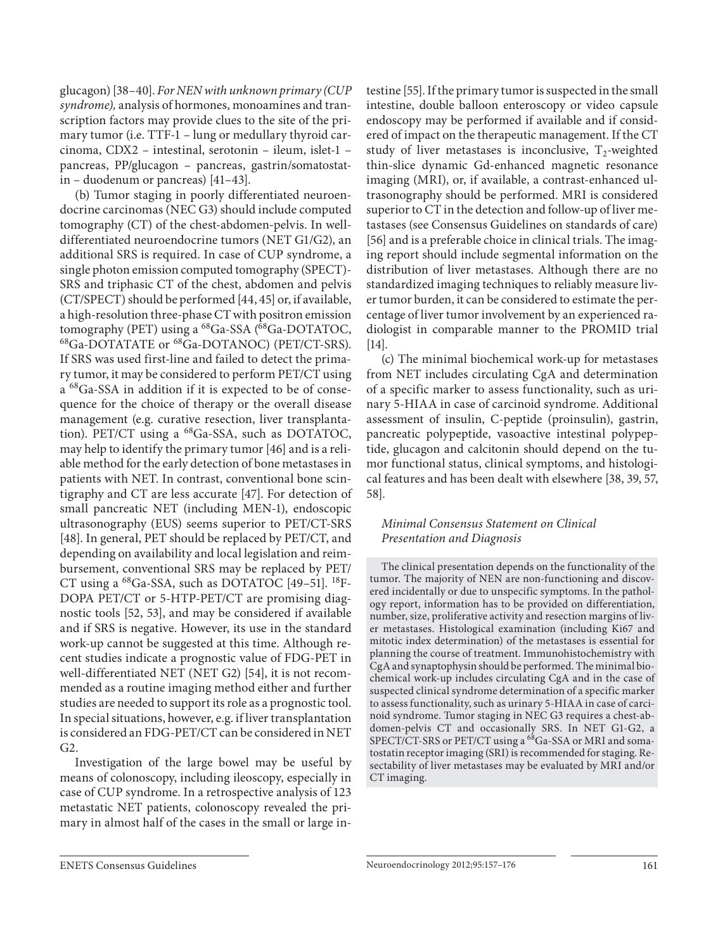glucagon) [38–40] . *For NEN with unknown primary (CUP syndrome),* analysis of hormones, monoamines and transcription factors may provide clues to the site of the primary tumor (i.e. TTF-1 – lung or medullary thyroid carcinoma, CDX2 – intestinal, serotonin – ileum, islet-1 – pancreas, PP/glucagon – pancreas, gastrin/somatostatin – duodenum or pancreas) [41–43] .

 (b) Tumor staging in poorly differentiated neuroendocrine carcinomas (NEC G3) should include computed tomography (CT) of the chest-abdomen-pelvis. In welldifferentiated neuroendocrine tumors (NET G1/G2), an additional SRS is required. In case of CUP syndrome, a single photon emission computed tomography (SPECT)- SRS and triphasic CT of the chest, abdomen and pelvis (CT/SPECT) should be performed [44, 45] or, if available, a high-resolution three-phase CT with positron emission tomography (PET) using a <sup>68</sup>Ga-SSA (<sup>68</sup>Ga-DOTATOC, 68 Ga-DOTATATE or 68 Ga-DOTANOC) (PET/CT-SRS). If SRS was used first-line and failed to detect the primary tumor, it may be considered to perform PET/CT using a <sup>68</sup>Ga-SSA in addition if it is expected to be of consequence for the choice of therapy or the overall disease management (e.g. curative resection, liver transplantation). PET/CT using a <sup>68</sup>Ga-SSA, such as DOTATOC, may help to identify the primary tumor [46] and is a reliable method for the early detection of bone metastases in patients with NET. In contrast, conventional bone scintigraphy and CT are less accurate [47] . For detection of small pancreatic NET (including MEN-1), endoscopic ultrasonography (EUS) seems superior to PET/CT-SRS [48]. In general, PET should be replaced by PET/CT, and depending on availability and local legislation and reimbursement, conventional SRS may be replaced by PET/ CT using a <sup>68</sup>Ga-SSA, such as DOTATOC [49-51]. <sup>18</sup>F-DOPA PET/CT or 5-HTP-PET/CT are promising diagnostic tools [52, 53], and may be considered if available and if SRS is negative. However, its use in the standard work-up cannot be suggested at this time. Although recent studies indicate a prognostic value of FDG-PET in well-differentiated NET (NET G2) [54], it is not recommended as a routine imaging method either and further studies are needed to support its role as a prognostic tool. In special situations, however, e.g. if liver transplantation is considered an FDG-PET/CT can be considered in NET  $G<sub>2</sub>$ 

 Investigation of the large bowel may be useful by means of colonoscopy, including ileoscopy, especially in case of CUP syndrome. In a retrospective analysis of 123 metastatic NET patients, colonoscopy revealed the primary in almost half of the cases in the small or large intestine [55] . If the primary tumor is suspected in the small intestine, double balloon enteroscopy or video capsule endoscopy may be performed if available and if considered of impact on the therapeutic management. If the CT study of liver metastases is inconclusive,  $T_2$ -weighted thin-slice dynamic Gd-enhanced magnetic resonance imaging (MRI), or, if available, a contrast-enhanced ultrasonography should be performed. MRI is considered superior to CT in the detection and follow-up of liver metastases (see Consensus Guidelines on standards of care) [56] and is a preferable choice in clinical trials. The imaging report should include segmental information on the distribution of liver metastases. Although there are no standardized imaging techniques to reliably measure liver tumor burden, it can be considered to estimate the percentage of liver tumor involvement by an experienced radiologist in comparable manner to the PROMID trial  $[14]$ .

 (c) The minimal biochemical work-up for metastases from NET includes circulating CgA and determination of a specific marker to assess functionality, such as urinary 5-HIAA in case of carcinoid syndrome. Additional assessment of insulin, C-peptide (proinsulin), gastrin, pancreatic polypeptide, vasoactive intestinal polypeptide, glucagon and calcitonin should depend on the tumor functional status, clinical symptoms, and histological features and has been dealt with elsewhere [38, 39, 57, 58] .

## *Minimal Consensus Statement on Clinical Presentation and Diagnosis*

 The clinical presentation depends on the functionality of the tumor. The majority of NEN are non-functioning and discovered incidentally or due to unspecific symptoms. In the pathology report, information has to be provided on differentiation, number, size, proliferative activity and resection margins of liver metastases. Histological examination (including Ki67 and mitotic index determination) of the metastases is essential for planning the course of treatment. Immunohistochemistry with CgA and synaptophysin should be performed. The minimal biochemical work-up includes circulating CgA and in the case of suspected clinical syndrome determination of a specific marker to assess functionality, such as urinary 5-HIAA in case of carcinoid syndrome. Tumor staging in NEC G3 requires a chest-abdomen-pelvis CT and occasionally SRS. In NET G1-G2, a SPECT/CT-SRS or PET/CT using a <sup>68</sup>Ga-SSA or MRI and somatostatin receptor imaging (SRI) is recommended for staging. Resectability of liver metastases may be evaluated by MRI and/or CT imaging.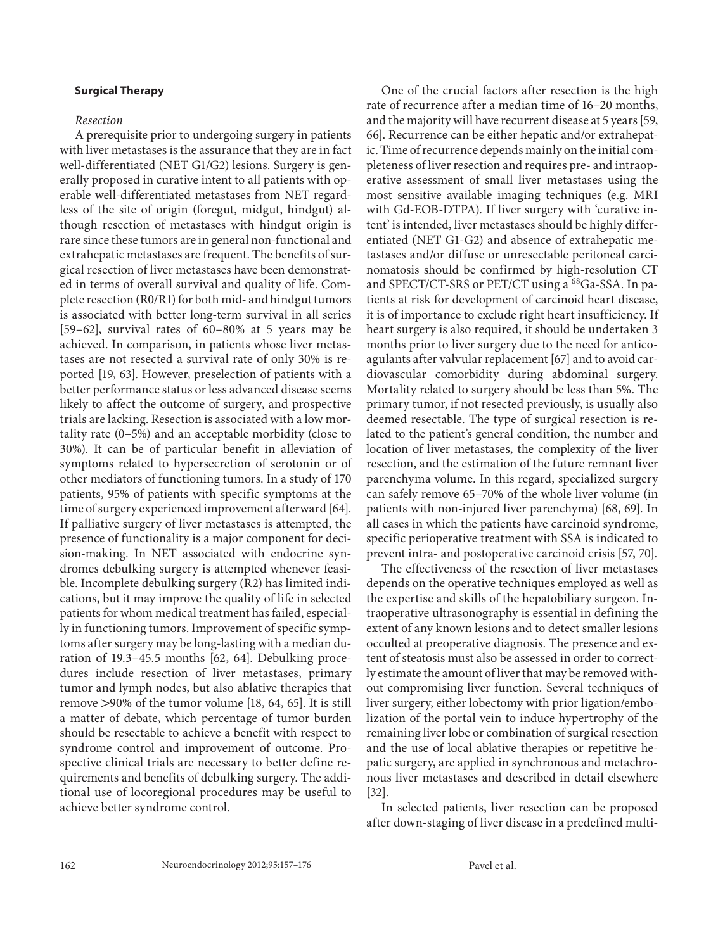## **Surgical Therapy**

#### *Resection*

 A prerequisite prior to undergoing surgery in patients with liver metastases is the assurance that they are in fact well-differentiated (NET G1/G2) lesions. Surgery is generally proposed in curative intent to all patients with operable well-differentiated metastases from NET regardless of the site of origin (foregut, midgut, hindgut) although resection of metastases with hindgut origin is rare since these tumors are in general non-functional and extrahepatic metastases are frequent. The benefits of surgical resection of liver metastases have been demonstrated in terms of overall survival and quality of life. Complete resection (R0/R1) for both mid- and hindgut tumors is associated with better long-term survival in all series [59–62], survival rates of  $60-80\%$  at 5 years may be achieved. In comparison, in patients whose liver metastases are not resected a survival rate of only 30% is reported [19, 63]. However, preselection of patients with a better performance status or less advanced disease seems likely to affect the outcome of surgery, and prospective trials are lacking. Resection is associated with a low mortality rate (0–5%) and an acceptable morbidity (close to 30%). It can be of particular benefit in alleviation of symptoms related to hypersecretion of serotonin or of other mediators of functioning tumors. In a study of 170 patients, 95% of patients with specific symptoms at the time of surgery experienced improvement afterward [64] . If palliative surgery of liver metastases is attempted, the presence of functionality is a major component for decision-making. In NET associated with endocrine syndromes debulking surgery is attempted whenever feasible. Incomplete debulking surgery (R2) has limited indications, but it may improve the quality of life in selected patients for whom medical treatment has failed, especially in functioning tumors. Improvement of specific symptoms after surgery may be long-lasting with a median duration of 19.3-45.5 months [62, 64]. Debulking procedures include resection of liver metastases, primary tumor and lymph nodes, but also ablative therapies that remove  $>90\%$  of the tumor volume [18, 64, 65]. It is still a matter of debate, which percentage of tumor burden should be resectable to achieve a benefit with respect to syndrome control and improvement of outcome. Prospective clinical trials are necessary to better define requirements and benefits of debulking surgery. The additional use of locoregional procedures may be useful to achieve better syndrome control.

 One of the crucial factors after resection is the high rate of recurrence after a median time of 16–20 months, and the majority will have recurrent disease at 5 years [59, 66]. Recurrence can be either hepatic and/or extrahepatic. Time of recurrence depends mainly on the initial completeness of liver resection and requires pre- and intraoperative assessment of small liver metastases using the most sensitive available imaging techniques (e.g. MRI with Gd-EOB-DTPA). If liver surgery with 'curative intent' is intended, liver metastases should be highly differentiated (NET G1-G2) and absence of extrahepatic metastases and/or diffuse or unresectable peritoneal carcinomatosis should be confirmed by high-resolution CT and SPECT/CT-SRS or PET/CT using a 68Ga-SSA. In patients at risk for development of carcinoid heart disease, it is of importance to exclude right heart insufficiency. If heart surgery is also required, it should be undertaken 3 months prior to liver surgery due to the need for anticoagulants after valvular replacement [67] and to avoid cardiovascular comorbidity during abdominal surgery. Mortality related to surgery should be less than 5%. The primary tumor, if not resected previously, is usually also deemed resectable. The type of surgical resection is related to the patient's general condition, the number and location of liver metastases, the complexity of the liver resection, and the estimation of the future remnant liver parenchyma volume. In this regard, specialized surgery can safely remove 65–70% of the whole liver volume (in patients with non-injured liver parenchyma) [68, 69]. In all cases in which the patients have carcinoid syndrome, specific perioperative treatment with SSA is indicated to prevent intra- and postoperative carcinoid crisis [57, 70] .

 The effectiveness of the resection of liver metastases depends on the operative techniques employed as well as the expertise and skills of the hepatobiliary surgeon. Intraoperative ultrasonography is essential in defining the extent of any known lesions and to detect smaller lesions occulted at preoperative diagnosis. The presence and extent of steatosis must also be assessed in order to correctly estimate the amount of liver that may be removed without compromising liver function. Several techniques of liver surgery, either lobectomy with prior ligation/embolization of the portal vein to induce hypertrophy of the remaining liver lobe or combination of surgical resection and the use of local ablative therapies or repetitive hepatic surgery, are applied in synchronous and metachronous liver metastases and described in detail elsewhere  $[32]$ .

 In selected patients, liver resection can be proposed after down-staging of liver disease in a predefined multi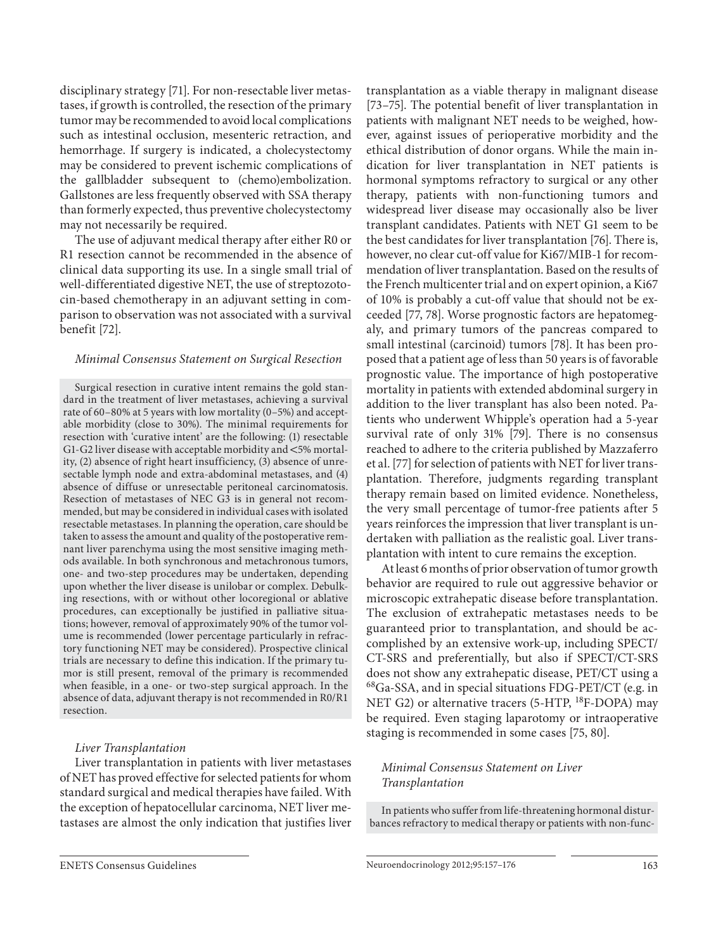disciplinary strategy [71]. For non-resectable liver metastases, if growth is controlled, the resection of the primary tumor may be recommended to avoid local complications such as intestinal occlusion, mesenteric retraction, and hemorrhage. If surgery is indicated, a cholecystectomy may be considered to prevent ischemic complications of the gallbladder subsequent to (chemo)embolization. Gallstones are less frequently observed with SSA therapy than formerly expected, thus preventive cholecystectomy may not necessarily be required.

 The use of adjuvant medical therapy after either R0 or R1 resection cannot be recommended in the absence of clinical data supporting its use. In a single small trial of well-differentiated digestive NET, the use of streptozotocin-based chemotherapy in an adjuvant setting in comparison to observation was not associated with a survival benefit [72].

#### *Minimal Consensus Statement on Surgical Resection*

 Surgical resection in curative intent remains the gold standard in the treatment of liver metastases, achieving a survival rate of 60–80% at 5 years with low mortality (0–5%) and acceptable morbidity (close to 30%). The minimal requirements for resection with 'curative intent' are the following: (1) resectable G1-G2 liver disease with acceptable morbidity and  $<$  5% mortality, (2) absence of right heart insufficiency, (3) absence of unresectable lymph node and extra-abdominal metastases, and (4) absence of diffuse or unresectable peritoneal carcinomatosis. Resection of metastases of NEC G3 is in general not recommended, but may be considered in individual cases with isolated resectable metastases. In planning the operation, care should be taken to assess the amount and quality of the postoperative remnant liver parenchyma using the most sensitive imaging methods available. In both synchronous and metachronous tumors, one- and two-step procedures may be undertaken, depending upon whether the liver disease is unilobar or complex. Debulking resections, with or without other locoregional or ablative procedures, can exceptionally be justified in palliative situations; however, removal of approximately 90% of the tumor volume is recommended (lower percentage particularly in refractory functioning NET may be considered). Prospective clinical trials are necessary to define this indication. If the primary tumor is still present, removal of the primary is recommended when feasible, in a one- or two-step surgical approach. In the absence of data, adjuvant therapy is not recommended in R0/R1 resection.

### *Liver Transplantation*

 Liver transplantation in patients with liver metastases of NET has proved effective for selected patients for whom standard surgical and medical therapies have failed. With the exception of hepatocellular carcinoma, NET liver metastases are almost the only indication that justifies liver transplantation as a viable therapy in malignant disease [73–75]. The potential benefit of liver transplantation in patients with malignant NET needs to be weighed, however, against issues of perioperative morbidity and the ethical distribution of donor organs. While the main indication for liver transplantation in NET patients is hormonal symptoms refractory to surgical or any other therapy, patients with non-functioning tumors and widespread liver disease may occasionally also be liver transplant candidates. Patients with NET G1 seem to be the best candidates for liver transplantation [76]. There is, however, no clear cut-off value for Ki67/MIB-1 for recommendation of liver transplantation. Based on the results of the French multicenter trial and on expert opinion, a Ki67 of 10% is probably a cut-off value that should not be exceeded [77, 78] . Worse prognostic factors are hepatomegaly, and primary tumors of the pancreas compared to small intestinal (carcinoid) tumors [78]. It has been proposed that a patient age of less than 50 years is of favorable prognostic value. The importance of high postoperative mortality in patients with extended abdominal surgery in addition to the liver transplant has also been noted. Patients who underwent Whipple's operation had a 5-year survival rate of only 31% [79]. There is no consensus reached to adhere to the criteria published by Mazzaferro et al. [77] for selection of patients with NET for liver transplantation. Therefore, judgments regarding transplant therapy remain based on limited evidence. Nonetheless, the very small percentage of tumor-free patients after 5 years reinforces the impression that liver transplant is undertaken with palliation as the realistic goal. Liver transplantation with intent to cure remains the exception.

 At least 6 months of prior observation of tumor growth behavior are required to rule out aggressive behavior or microscopic extrahepatic disease before transplantation. The exclusion of extrahepatic metastases needs to be guaranteed prior to transplantation, and should be accomplished by an extensive work-up, including SPECT/ CT-SRS and preferentially, but also if SPECT/CT-SRS does not show any extrahepatic disease, PET/CT using a 68 Ga-SSA, and in special situations FDG-PET/CT (e.g. in NET G2) or alternative tracers (5-HTP, <sup>18</sup>F-DOPA) may be required. Even staging laparotomy or intraoperative staging is recommended in some cases [75, 80] .

## *Minimal Consensus Statement on Liver Transplantation*

 In patients who suffer from life-threatening hormonal disturbances refractory to medical therapy or patients with non-func-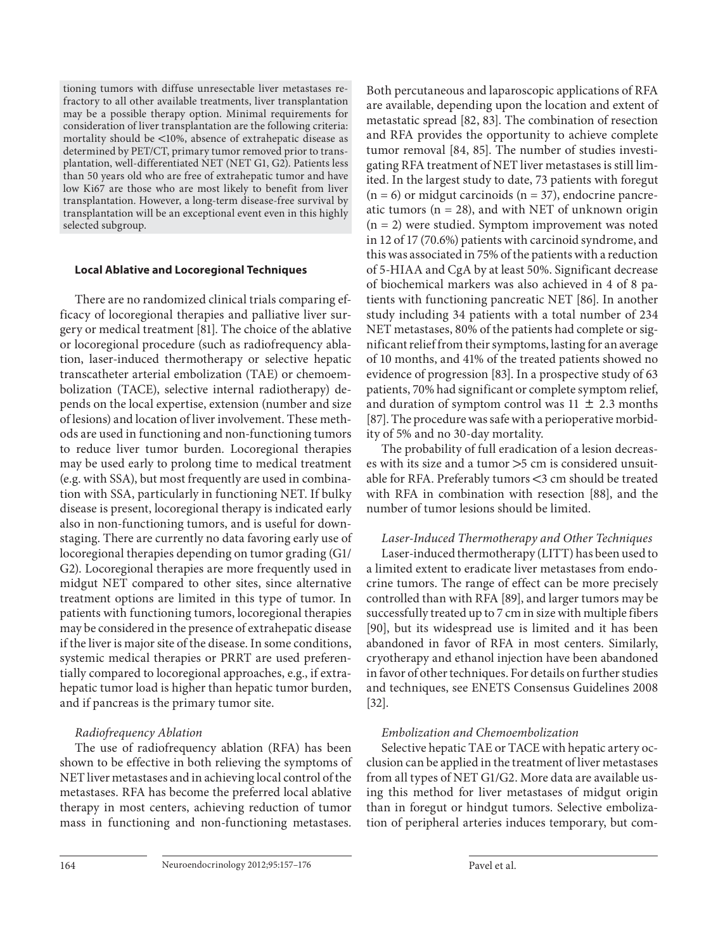tioning tumors with diffuse unresectable liver metastases refractory to all other available treatments, liver transplantation may be a possible therapy option. Minimal requirements for consideration of liver transplantation are the following criteria: mortality should be  $\langle 10\%,$  absence of extrahepatic disease as determined by PET/CT, primary tumor removed prior to transplantation, well-differentiated NET (NET G1, G2). Patients less than 50 years old who are free of extrahepatic tumor and have low Ki67 are those who are most likely to benefit from liver transplantation. However, a long-term disease-free survival by transplantation will be an exceptional event even in this highly selected subgroup.

#### **Local Ablative and Locoregional Techniques**

 There are no randomized clinical trials comparing efficacy of locoregional therapies and palliative liver surgery or medical treatment [81] . The choice of the ablative or locoregional procedure (such as radiofrequency ablation, laser-induced thermotherapy or selective hepatic transcatheter arterial embolization (TAE) or chemoembolization (TACE), selective internal radiotherapy) depends on the local expertise, extension (number and size of lesions) and location of liver involvement. These methods are used in functioning and non-functioning tumors to reduce liver tumor burden. Locoregional therapies may be used early to prolong time to medical treatment (e.g. with SSA), but most frequently are used in combination with SSA, particularly in functioning NET. If bulky disease is present, locoregional therapy is indicated early also in non-functioning tumors, and is useful for downstaging. There are currently no data favoring early use of locoregional therapies depending on tumor grading (G1/ G2). Locoregional therapies are more frequently used in midgut NET compared to other sites, since alternative treatment options are limited in this type of tumor. In patients with functioning tumors, locoregional therapies may be considered in the presence of extrahepatic disease if the liver is major site of the disease. In some conditions, systemic medical therapies or PRRT are used preferentially compared to locoregional approaches, e.g., if extrahepatic tumor load is higher than hepatic tumor burden, and if pancreas is the primary tumor site.

## *Radiofrequency Ablation*

 The use of radiofrequency ablation (RFA) has been shown to be effective in both relieving the symptoms of NET liver metastases and in achieving local control of the metastases. RFA has become the preferred local ablative therapy in most centers, achieving reduction of tumor mass in functioning and non-functioning metastases. Both percutaneous and laparoscopic applications of RFA are available, depending upon the location and extent of metastatic spread [82, 83]. The combination of resection and RFA provides the opportunity to achieve complete tumor removal [84, 85]. The number of studies investigating RFA treatment of NET liver metastases is still limited. In the largest study to date, 73 patients with foregut  $(n = 6)$  or midgut carcinoids  $(n = 37)$ , endocrine pancreatic tumors ( $n = 28$ ), and with NET of unknown origin (n = 2) were studied. Symptom improvement was noted in 12 of 17 (70.6%) patients with carcinoid syndrome, and this was associated in 75% of the patients with a reduction of 5-HIAA and CgA by at least 50%. Significant decrease of biochemical markers was also achieved in 4 of 8 patients with functioning pancreatic NET [86]. In another study including 34 patients with a total number of 234 NET metastases, 80% of the patients had complete or significant relief from their symptoms, lasting for an average of 10 months, and 41% of the treated patients showed no evidence of progression [83]. In a prospective study of 63 patients, 70% had significant or complete symptom relief, and duration of symptom control was  $11 \pm 2.3$  months [87] . The procedure was safe with a perioperative morbidity of 5% and no 30-day mortality.

 The probability of full eradication of a lesion decreases with its size and a tumor  $>5$  cm is considered unsuitable for RFA. Preferably tumors <3 cm should be treated with RFA in combination with resection [88], and the number of tumor lesions should be limited.

## *Laser-Induced Thermotherapy and Other Techniques*

 Laser-induced thermotherapy (LITT) has been used to a limited extent to eradicate liver metastases from endocrine tumors. The range of effect can be more precisely controlled than with RFA [89], and larger tumors may be successfully treated up to 7 cm in size with multiple fibers [90], but its widespread use is limited and it has been abandoned in favor of RFA in most centers. Similarly, cryotherapy and ethanol injection have been abandoned in favor of other techniques. For details on further studies and techniques, see ENETS Consensus Guidelines 2008  $[32]$ .

## *Embolization and Chemoembolization*

 Selective hepatic TAE or TACE with hepatic artery occlusion can be applied in the treatment of liver metastases from all types of NET G1/G2. More data are available using this method for liver metastases of midgut origin than in foregut or hindgut tumors. Selective embolization of peripheral arteries induces temporary, but com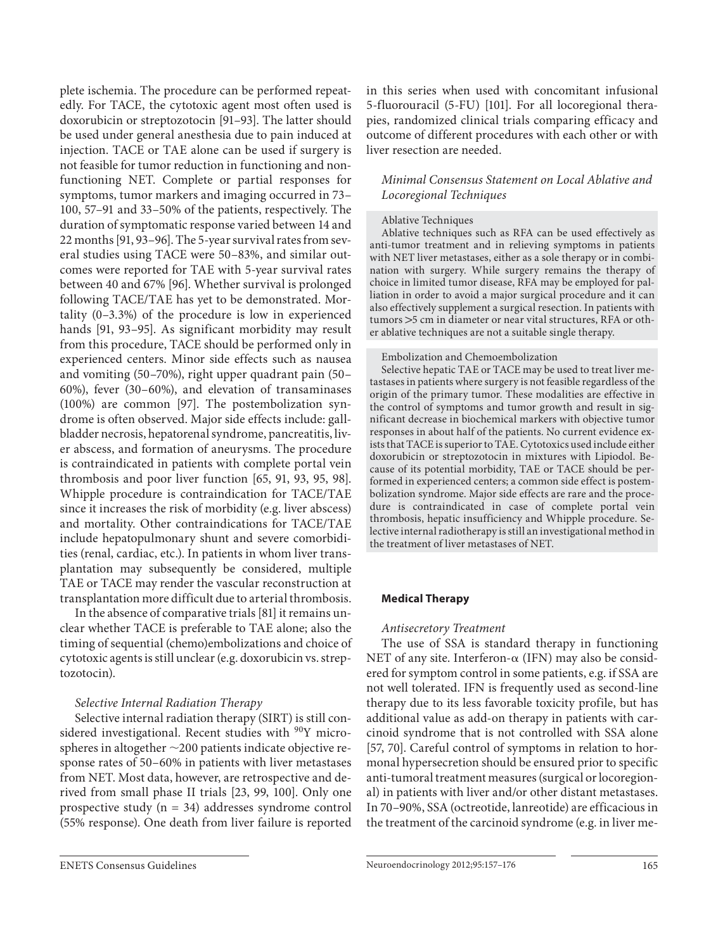plete ischemia. The procedure can be performed repeatedly. For TACE, the cytotoxic agent most often used is doxorubicin or streptozotocin [91-93]. The latter should be used under general anesthesia due to pain induced at injection. TACE or TAE alone can be used if surgery is not feasible for tumor reduction in functioning and nonfunctioning NET. Complete or partial responses for symptoms, tumor markers and imaging occurred in 73– 100, 57–91 and 33–50% of the patients, respectively. The duration of symptomatic response varied between 14 and 22 months [91, 93–96] . The 5-year survival rates from several studies using TACE were 50–83%, and similar outcomes were reported for TAE with 5-year survival rates between 40 and 67% [96]. Whether survival is prolonged following TACE/TAE has yet to be demonstrated. Mortality (0–3.3%) of the procedure is low in experienced hands [91, 93–95]. As significant morbidity may result from this procedure, TACE should be performed only in experienced centers. Minor side effects such as nausea and vomiting (50–70%), right upper quadrant pain (50– 60%), fever (30–60%), and elevation of transaminases (100%) are common [97]. The postembolization syndrome is often observed. Major side effects include: gallbladder necrosis, hepatorenal syndrome, pancreatitis, liver abscess, and formation of aneurysms. The procedure is contraindicated in patients with complete portal vein thrombosis and poor liver function [65, 91, 93, 95, 98]. Whipple procedure is contraindication for TACE/TAE since it increases the risk of morbidity (e.g. liver abscess) and mortality. Other contraindications for TACE/TAE include hepatopulmonary shunt and severe comorbidities (renal, cardiac, etc.). In patients in whom liver transplantation may subsequently be considered, multiple TAE or TACE may render the vascular reconstruction at transplantation more difficult due to arterial thrombosis.

 In the absence of comparative trials [81] it remains unclear whether TACE is preferable to TAE alone; also the timing of sequential (chemo)embolizations and choice of cytotoxic agents is still unclear (e.g. doxorubicin vs. streptozotocin).

## *Selective Internal Radiation Therapy*

 Selective internal radiation therapy (SIRT) is still considered investigational. Recent studies with  $90Y$  microspheres in altogether  $\sim$ 200 patients indicate objective response rates of 50–60% in patients with liver metastases from NET. Most data, however, are retrospective and derived from small phase II trials [23, 99, 100]. Only one prospective study (n = 34) addresses syndrome control (55% response). One death from liver failure is reported

in this series when used with concomitant infusional 5-fluorouracil (5-FU) [101]. For all locoregional therapies, randomized clinical trials comparing efficacy and outcome of different procedures with each other or with liver resection are needed.

### *Minimal Consensus Statement on Local Ablative and Locoregional Techniques*

#### Ablative Techniques

 Ablative techniques such as RFA can be used effectively as anti-tumor treatment and in relieving symptoms in patients with NET liver metastases, either as a sole therapy or in combination with surgery. While surgery remains the therapy of choice in limited tumor disease, RFA may be employed for palliation in order to avoid a major surgical procedure and it can also effectively supplement a surgical resection. In patients with tumors >5 cm in diameter or near vital structures, RFA or other ablative techniques are not a suitable single therapy.

#### Embolization and Chemoembolization

 Selective hepatic TAE or TACE may be used to treat liver metastases in patients where surgery is not feasible regardless of the origin of the primary tumor. These modalities are effective in the control of symptoms and tumor growth and result in significant decrease in biochemical markers with objective tumor responses in about half of the patients. No current evidence exists that TACE is superior to TAE. Cytotoxics used include either doxorubicin or streptozotocin in mixtures with Lipiodol. Because of its potential morbidity, TAE or TACE should be performed in experienced centers; a common side effect is postembolization syndrome. Major side effects are rare and the procedure is contraindicated in case of complete portal vein thrombosis, hepatic insufficiency and Whipple procedure. Selective internal radiotherapy is still an investigational method in the treatment of liver metastases of NET.

### **Medical Therapy**

### *Antisecretory Treatment*

 The use of SSA is standard therapy in functioning NET of any site. Interferon- $\alpha$  (IFN) may also be considered for symptom control in some patients, e.g. if SSA are not well tolerated. IFN is frequently used as second-line therapy due to its less favorable toxicity profile, but has additional value as add-on therapy in patients with carcinoid syndrome that is not controlled with SSA alone [57, 70]. Careful control of symptoms in relation to hormonal hypersecretion should be ensured prior to specific anti-tumoral treatment measures (surgical or locoregional) in patients with liver and/or other distant metastases. In 70–90%, SSA (octreotide, lanreotide) are efficacious in the treatment of the carcinoid syndrome (e.g. in liver me-

ENETS Consensus Guidelines Neuroendocrinology 2012;95:157-176 165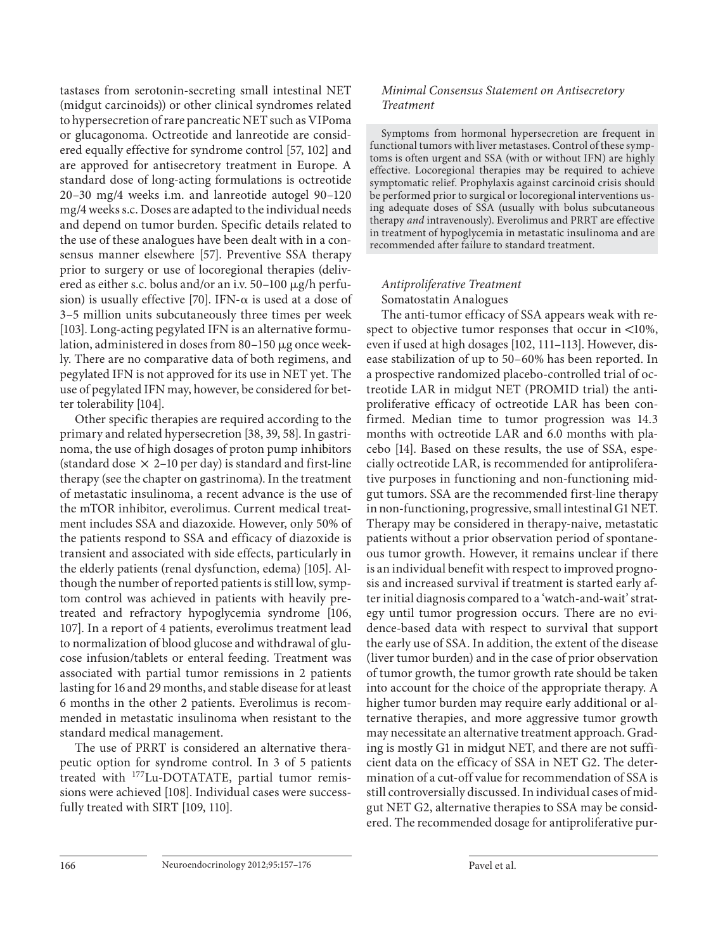tastases from serotonin-secreting small intestinal NET (midgut carcinoids)) or other clinical syndromes related to hypersecretion of rare pancreatic NET such as VIPoma or glucagonoma. Octreotide and lanreotide are considered equally effective for syndrome control [57, 102] and are approved for antisecretory treatment in Europe. A standard dose of long-acting formulations is octreotide 20–30 mg/4 weeks i.m. and lanreotide autogel 90–120 mg/4 weeks s.c. Doses are adapted to the individual needs and depend on tumor burden. Specific details related to the use of these analogues have been dealt with in a consensus manner elsewhere [57]. Preventive SSA therapy prior to surgery or use of locoregional therapies (delivered as either s.c. bolus and/or an i.v.  $50-100 \mu g/h$  perfusion) is usually effective [70]. IFN- $\alpha$  is used at a dose of 3–5 million units subcutaneously three times per week [103]. Long-acting pegylated IFN is an alternative formulation, administered in doses from  $80-150 \mu$ g once weekly. There are no comparative data of both regimens, and pegylated IFN is not approved for its use in NET yet. The use of pegylated IFN may, however, be considered for better tolerability [104] .

 Other specific therapies are required according to the primary and related hypersecretion [38, 39, 58] . In gastrinoma, the use of high dosages of proton pump inhibitors (standard dose  $\times$  2–10 per day) is standard and first-line therapy (see the chapter on gastrinoma). In the treatment of metastatic insulinoma, a recent advance is the use of the mTOR inhibitor, everolimus. Current medical treatment includes SSA and diazoxide. However, only 50% of the patients respond to SSA and efficacy of diazoxide is transient and associated with side effects, particularly in the elderly patients (renal dysfunction, edema) [105] . Although the number of reported patients is still low, symptom control was achieved in patients with heavily pretreated and refractory hypoglycemia syndrome [106, 107]. In a report of 4 patients, everolimus treatment lead to normalization of blood glucose and withdrawal of glucose infusion/tablets or enteral feeding. Treatment was associated with partial tumor remissions in 2 patients lasting for 16 and 29 months, and stable disease for at least 6 months in the other 2 patients. Everolimus is recommended in metastatic insulinoma when resistant to the standard medical management.

 The use of PRRT is considered an alternative therapeutic option for syndrome control. In 3 of 5 patients treated with <sup>177</sup>Lu-DOTATATE, partial tumor remissions were achieved [108]. Individual cases were successfully treated with SIRT [109, 110].

## *Minimal Consensus Statement on Antisecretory Treatment*

 Symptoms from hormonal hypersecretion are frequent in functional tumors with liver metastases. Control of these symptoms is often urgent and SSA (with or without IFN) are highly effective. Locoregional therapies may be required to achieve symptomatic relief. Prophylaxis against carcinoid crisis should be performed prior to surgical or locoregional interventions using adequate doses of SSA (usually with bolus subcutaneous therapy *and* intravenously). Everolimus and PRRT are effective in treatment of hypoglycemia in metastatic insulinoma and are recommended after failure to standard treatment.

## *Antiproliferative Treatment*  Somatostatin Analogues

 The anti-tumor efficacy of SSA appears weak with respect to objective tumor responses that occur in  $< 10\%$ , even if used at high dosages [102, 111–113] . However, disease stabilization of up to 50–60% has been reported. In a prospective randomized placebo-controlled trial of octreotide LAR in midgut NET (PROMID trial) the antiproliferative efficacy of octreotide LAR has been confirmed. Median time to tumor progression was 14.3 months with octreotide LAR and 6.0 months with placebo [14]. Based on these results, the use of SSA, especially octreotide LAR, is recommended for antiproliferative purposes in functioning and non-functioning midgut tumors. SSA are the recommended first-line therapy in non-functioning, progressive, small intestinal G1 NET. Therapy may be considered in therapy-naive, metastatic patients without a prior observation period of spontaneous tumor growth. However, it remains unclear if there is an individual benefit with respect to improved prognosis and increased survival if treatment is started early after initial diagnosis compared to a 'watch-and-wait' strategy until tumor progression occurs. There are no evidence-based data with respect to survival that support the early use of SSA. In addition, the extent of the disease (liver tumor burden) and in the case of prior observation of tumor growth, the tumor growth rate should be taken into account for the choice of the appropriate therapy. A higher tumor burden may require early additional or alternative therapies, and more aggressive tumor growth may necessitate an alternative treatment approach. Grading is mostly G1 in midgut NET, and there are not sufficient data on the efficacy of SSA in NET G2. The determination of a cut-off value for recommendation of SSA is still controversially discussed. In individual cases of midgut NET G2, alternative therapies to SSA may be considered. The recommended dosage for antiproliferative pur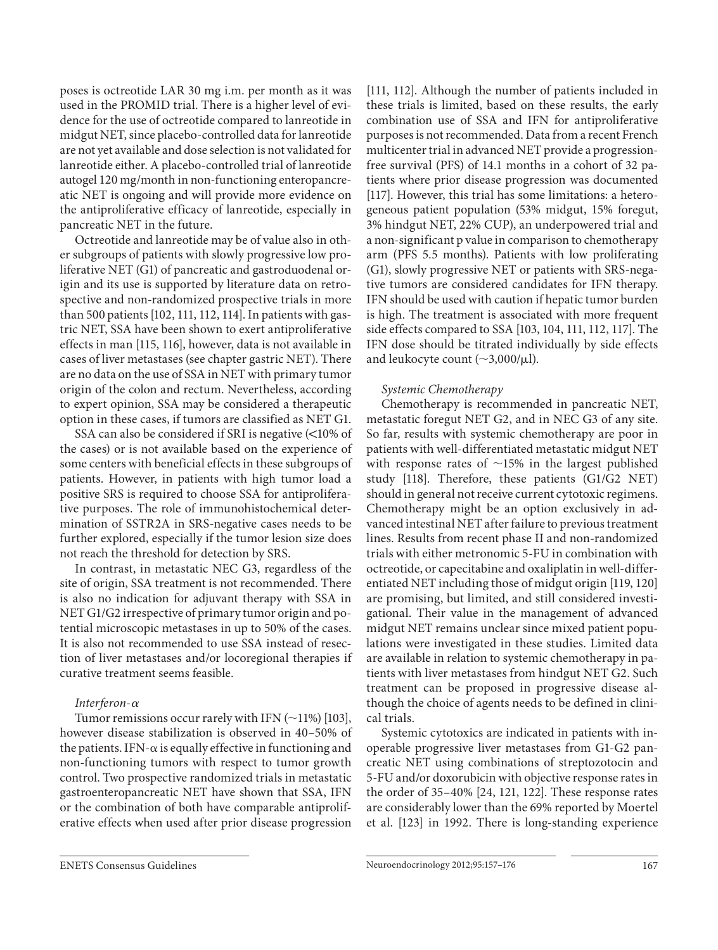poses is octreotide LAR 30 mg i.m. per month as it was used in the PROMID trial. There is a higher level of evidence for the use of octreotide compared to lanreotide in midgut NET, since placebo-controlled data for lanreotide are not yet available and dose selection is not validated for lanreotide either. A placebo-controlled trial of lanreotide autogel 120 mg/month in non-functioning enteropancreatic NET is ongoing and will provide more evidence on the antiproliferative efficacy of lanreotide, especially in pancreatic NET in the future.

 Octreotide and lanreotide may be of value also in other subgroups of patients with slowly progressive low proliferative NET (G1) of pancreatic and gastroduodenal origin and its use is supported by literature data on retrospective and non-randomized prospective trials in more than 500 patients [102, 111, 112, 114] . In patients with gastric NET, SSA have been shown to exert antiproliferative effects in man [115, 116], however, data is not available in cases of liver metastases (see chapter gastric NET). There are no data on the use of SSA in NET with primary tumor origin of the colon and rectum. Nevertheless, according to expert opinion, SSA may be considered a therapeutic option in these cases, if tumors are classified as NET G1.

SSA can also be considered if SRI is negative  $\ll 10\%$  of the cases) or is not available based on the experience of some centers with beneficial effects in these subgroups of patients. However, in patients with high tumor load a positive SRS is required to choose SSA for antiproliferative purposes. The role of immunohistochemical determination of SSTR2A in SRS-negative cases needs to be further explored, especially if the tumor lesion size does not reach the threshold for detection by SRS.

 In contrast, in metastatic NEC G3, regardless of the site of origin, SSA treatment is not recommended. There is also no indication for adjuvant therapy with SSA in NET G1/G2 irrespective of primary tumor origin and potential microscopic metastases in up to 50% of the cases. It is also not recommended to use SSA instead of resection of liver metastases and/or locoregional therapies if curative treatment seems feasible.

## *Interferon-α*

Tumor remissions occur rarely with IFN  $(\sim]1\%)$  [103], however disease stabilization is observed in 40–50% of the patients. IFN- $\alpha$  is equally effective in functioning and non-functioning tumors with respect to tumor growth control. Two prospective randomized trials in metastatic gastroenteropancreatic NET have shown that SSA, IFN or the combination of both have comparable antiproliferative effects when used after prior disease progression

[111, 112]. Although the number of patients included in these trials is limited, based on these results, the early combination use of SSA and IFN for antiproliferative purposes is not recommended. Data from a recent French multicenter trial in advanced NET provide a progressionfree survival (PFS) of 14.1 months in a cohort of 32 patients where prior disease progression was documented [117]. However, this trial has some limitations: a heterogeneous patient population (53% midgut, 15% foregut, 3% hindgut NET, 22% CUP), an underpowered trial and a non-significant p value in comparison to chemotherapy arm (PFS 5.5 months). Patients with low proliferating (G1), slowly progressive NET or patients with SRS-negative tumors are considered candidates for IFN therapy. IFN should be used with caution if hepatic tumor burden is high. The treatment is associated with more frequent side effects compared to SSA [103, 104, 111, 112, 117] . The IFN dose should be titrated individually by side effects and leukocyte count ( $\sim$ 3,000/ $\mu$ l).

### *Systemic Chemotherapy*

 Chemotherapy is recommended in pancreatic NET, metastatic foregut NET G2, and in NEC G3 of any site. So far, results with systemic chemotherapy are poor in patients with well-differentiated metastatic midgut NET with response rates of  $\sim$ 15% in the largest published study [118]. Therefore, these patients (G1/G2 NET) should in general not receive current cytotoxic regimens. Chemotherapy might be an option exclusively in advanced intestinal NET after failure to previous treatment lines. Results from recent phase II and non-randomized trials with either metronomic 5-FU in combination with octreotide, or capecitabine and oxaliplatin in well-differentiated NET including those of midgut origin [119, 120] are promising, but limited, and still considered investigational. Their value in the management of advanced midgut NET remains unclear since mixed patient populations were investigated in these studies. Limited data are available in relation to systemic chemotherapy in patients with liver metastases from hindgut NET G2. Such treatment can be proposed in progressive disease although the choice of agents needs to be defined in clinical trials.

 Systemic cytotoxics are indicated in patients with inoperable progressive liver metastases from G1-G2 pancreatic NET using combinations of streptozotocin and 5-FU and/or doxorubicin with objective response rates in the order of 35–40% [24, 121, 122] . These response rates are considerably lower than the 69% reported by Moertel et al. [123] in 1992. There is long-standing experience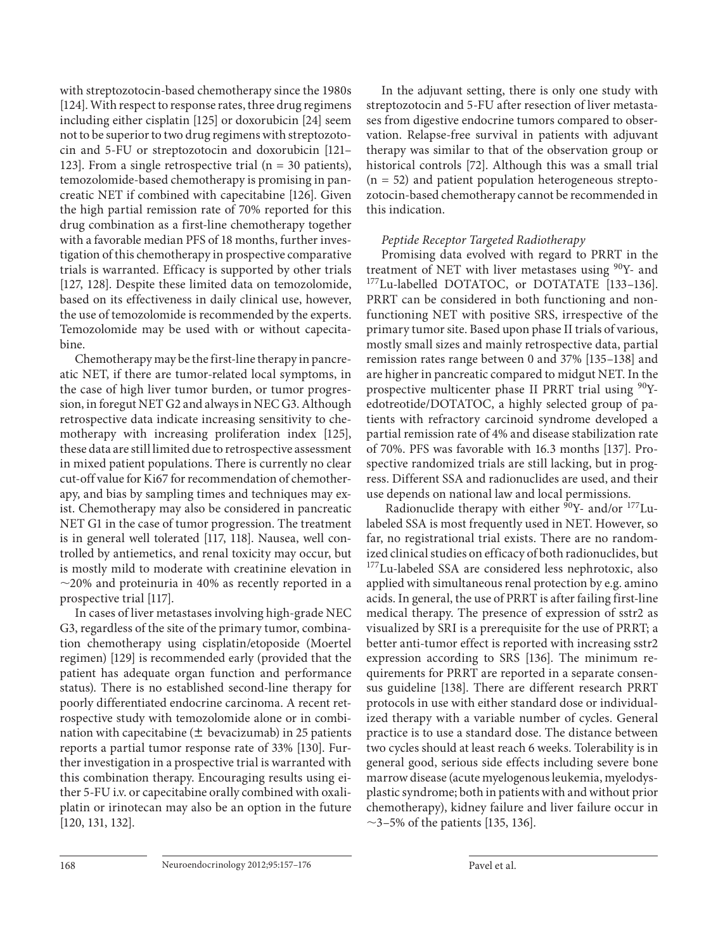with streptozotocin-based chemotherapy since the 1980s [124]. With respect to response rates, three drug regimens including either cisplatin [125] or doxorubicin [24] seem not to be superior to two drug regimens with streptozotocin and 5-FU or streptozotocin and doxorubicin [121– 123]. From a single retrospective trial ( $n = 30$  patients), temozolomide-based chemotherapy is promising in pancreatic NET if combined with capecitabine [126] . Given the high partial remission rate of 70% reported for this drug combination as a first-line chemotherapy together with a favorable median PFS of 18 months, further investigation of this chemotherapy in prospective comparative trials is warranted. Efficacy is supported by other trials [127, 128]. Despite these limited data on temozolomide, based on its effectiveness in daily clinical use, however, the use of temozolomide is recommended by the experts. Temozolomide may be used with or without capecitabine.

 Chemotherapy may be the first-line therapy in pancreatic NET, if there are tumor-related local symptoms, in the case of high liver tumor burden, or tumor progression, in foregut NET G2 and always in NEC G3. Although retrospective data indicate increasing sensitivity to chemotherapy with increasing proliferation index [125], these data are still limited due to retrospective assessment in mixed patient populations. There is currently no clear cut-off value for Ki67 for recommendation of chemotherapy, and bias by sampling times and techniques may exist. Chemotherapy may also be considered in pancreatic NET G1 in the case of tumor progression. The treatment is in general well tolerated [117, 118]. Nausea, well controlled by antiemetics, and renal toxicity may occur, but is mostly mild to moderate with creatinine elevation in  $\sim$ 20% and proteinuria in 40% as recently reported in a prospective trial [117].

 In cases of liver metastases involving high-grade NEC G3, regardless of the site of the primary tumor, combination chemotherapy using cisplatin/etoposide (Moertel regimen) [129] is recommended early (provided that the patient has adequate organ function and performance status). There is no established second-line therapy for poorly differentiated endocrine carcinoma. A recent retrospective study with temozolomide alone or in combination with capecitabine ( $\pm$  bevacizumab) in 25 patients reports a partial tumor response rate of 33% [130]. Further investigation in a prospective trial is warranted with this combination therapy. Encouraging results using either 5-FU i.v. or capecitabine orally combined with oxaliplatin or irinotecan may also be an option in the future [120, 131, 132].

 In the adjuvant setting, there is only one study with streptozotocin and 5-FU after resection of liver metastases from digestive endocrine tumors compared to observation. Relapse-free survival in patients with adjuvant therapy was similar to that of the observation group or historical controls [72]. Although this was a small trial  $(n = 52)$  and patient population heterogeneous streptozotocin-based chemotherapy cannot be recommended in this indication.

## *Peptide Receptor Targeted Radiotherapy*

 Promising data evolved with regard to PRRT in the treatment of NET with liver metastases using  $90Y$ - and <sup>177</sup>Lu-labelled DOTATOC, or DOTATATE [133-136]. PRRT can be considered in both functioning and nonfunctioning NET with positive SRS, irrespective of the primary tumor site. Based upon phase II trials of various, mostly small sizes and mainly retrospective data, partial remission rates range between 0 and 37% [135–138] and are higher in pancreatic compared to midgut NET. In the prospective multicenter phase II PRRT trial using <sup>90</sup>Yedotreotide/DOTATOC, a highly selected group of patients with refractory carcinoid syndrome developed a partial remission rate of 4% and disease stabilization rate of 70%. PFS was favorable with 16.3 months [137] . Prospective randomized trials are still lacking, but in progress. Different SSA and radionuclides are used, and their use depends on national law and local permissions.

Radionuclide therapy with either  $90Y$ - and/or  $177$ Lulabeled SSA is most frequently used in NET. However, so far, no registrational trial exists. There are no randomized clinical studies on efficacy of both radionuclides, but 177 Lu-labeled SSA are considered less nephrotoxic, also applied with simultaneous renal protection by e.g. amino acids. In general, the use of PRRT is after failing first-line medical therapy. The presence of expression of sstr2 as visualized by SRI is a prerequisite for the use of PRRT; a better anti-tumor effect is reported with increasing sstr2 expression according to SRS [136]. The minimum requirements for PRRT are reported in a separate consensus guideline [138]. There are different research PRRT protocols in use with either standard dose or individualized therapy with a variable number of cycles. General practice is to use a standard dose. The distance between two cycles should at least reach 6 weeks. Tolerability is in general good, serious side effects including severe bone marrow disease (acute myelogenous leukemia, myelodysplastic syndrome; both in patients with and without prior chemotherapy), kidney failure and liver failure occur in  $\sim$ 3–5% of the patients [135, 136].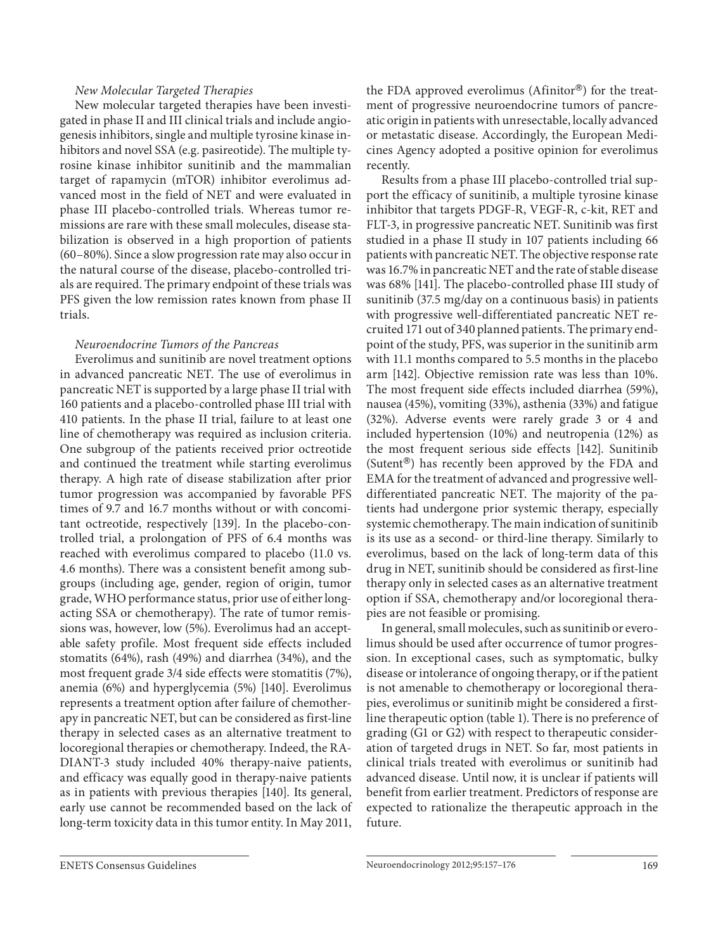#### *New Molecular Targeted Therapies*

 New molecular targeted therapies have been investigated in phase II and III clinical trials and include angiogenesis inhibitors, single and multiple tyrosine kinase inhibitors and novel SSA (e.g. pasireotide). The multiple tyrosine kinase inhibitor sunitinib and the mammalian target of rapamycin (mTOR) inhibitor everolimus advanced most in the field of NET and were evaluated in phase III placebo-controlled trials. Whereas tumor remissions are rare with these small molecules, disease stabilization is observed in a high proportion of patients (60–80%). Since a slow progression rate may also occur in the natural course of the disease, placebo-controlled trials are required. The primary endpoint of these trials was PFS given the low remission rates known from phase II trials.

#### *Neuroendocrine Tumors of the Pancreas*

 Everolimus and sunitinib are novel treatment options in advanced pancreatic NET. The use of everolimus in pancreatic NET is supported by a large phase II trial with 160 patients and a placebo-controlled phase III trial with 410 patients. In the phase II trial, failure to at least one line of chemotherapy was required as inclusion criteria. One subgroup of the patients received prior octreotide and continued the treatment while starting everolimus therapy. A high rate of disease stabilization after prior tumor progression was accompanied by favorable PFS times of 9.7 and 16.7 months without or with concomitant octreotide, respectively [139]. In the placebo-controlled trial, a prolongation of PFS of 6.4 months was reached with everolimus compared to placebo (11.0 vs. 4.6 months). There was a consistent benefit among subgroups (including age, gender, region of origin, tumor grade, WHO performance status, prior use of either longacting SSA or chemotherapy). The rate of tumor remissions was, however, low (5%). Everolimus had an acceptable safety profile. Most frequent side effects included stomatits (64%), rash (49%) and diarrhea (34%), and the most frequent grade 3/4 side effects were stomatitis (7%), anemia (6%) and hyperglycemia (5%) [140] . Everolimus represents a treatment option after failure of chemotherapy in pancreatic NET, but can be considered as first-line therapy in selected cases as an alternative treatment to locoregional therapies or chemotherapy. Indeed, the RA-DIANT-3 study included 40% therapy-naive patients, and efficacy was equally good in therapy-naive patients as in patients with previous therapies [140] . Its general, early use cannot be recommended based on the lack of long-term toxicity data in this tumor entity. In May 2011,

 Results from a phase III placebo-controlled trial support the efficacy of sunitinib, a multiple tyrosine kinase inhibitor that targets PDGF-R, VEGF-R, c-kit, RET and FLT-3, in progressive pancreatic NET. Sunitinib was first studied in a phase II study in 107 patients including 66 patients with pancreatic NET. The objective response rate was 16.7% in pancreatic NET and the rate of stable disease was 68% [141]. The placebo-controlled phase III study of sunitinib (37.5 mg/day on a continuous basis) in patients with progressive well-differentiated pancreatic NET recruited 171 out of 340 planned patients. The primary endpoint of the study, PFS, was superior in the sunitinib arm with 11.1 months compared to 5.5 months in the placebo arm [142]. Objective remission rate was less than 10%. The most frequent side effects included diarrhea (59%), nausea (45%), vomiting (33%), asthenia (33%) and fatigue (32%). Adverse events were rarely grade 3 or 4 and included hypertension (10%) and neutropenia (12%) as the most frequent serious side effects [142]. Sunitinib (Sutent<sup>®</sup>) has recently been approved by the FDA and EMA for the treatment of advanced and progressive welldifferentiated pancreatic NET. The majority of the patients had undergone prior systemic therapy, especially systemic chemotherapy. The main indication of sunitinib is its use as a second- or third-line therapy. Similarly to everolimus, based on the lack of long-term data of this drug in NET, sunitinib should be considered as first-line therapy only in selected cases as an alternative treatment option if SSA, chemotherapy and/or locoregional therapies are not feasible or promising.

 In general, small molecules, such as sunitinib or everolimus should be used after occurrence of tumor progression. In exceptional cases, such as symptomatic, bulky disease or intolerance of ongoing therapy, or if the patient is not amenable to chemotherapy or locoregional therapies, everolimus or sunitinib might be considered a firstline therapeutic option (table 1). There is no preference of grading (G1 or G2) with respect to therapeutic consideration of targeted drugs in NET. So far, most patients in clinical trials treated with everolimus or sunitinib had advanced disease. Until now, it is unclear if patients will benefit from earlier treatment. Predictors of response are expected to rationalize the therapeutic approach in the future.

the FDA approved everolimus (Afinitor®) for the treatment of progressive neuroendocrine tumors of pancreatic origin in patients with unresectable, locally advanced or metastatic disease. Accordingly, the European Medicines Agency adopted a positive opinion for everolimus recently.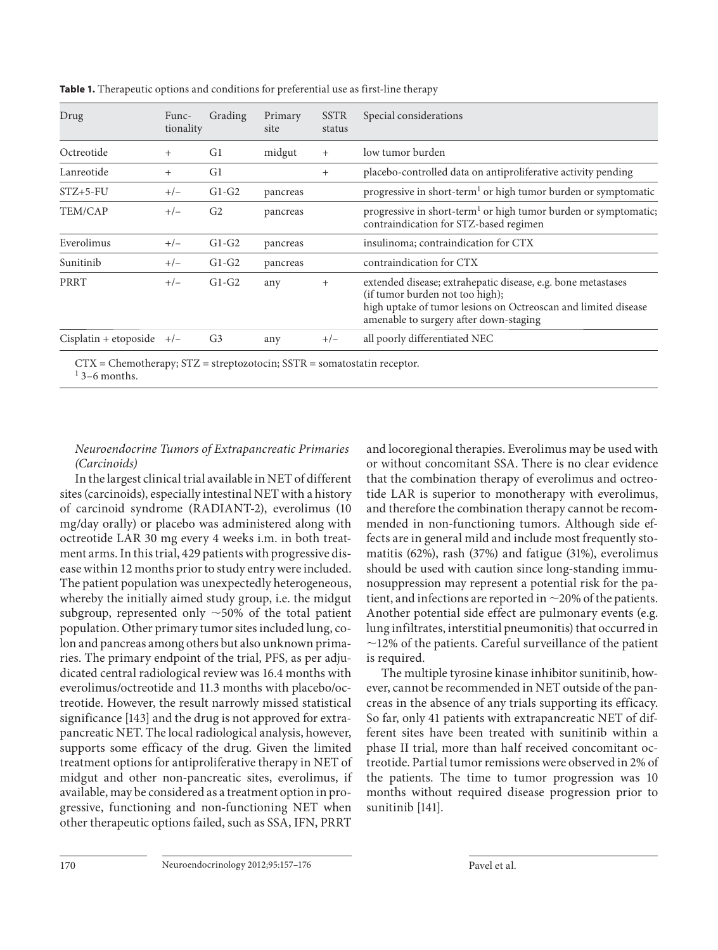| Drug                                                                                                          | Func-<br>tionality | Grading        | Primary<br>site | <b>SSTR</b><br>status | Special considerations                                                                                                                                                                                      |
|---------------------------------------------------------------------------------------------------------------|--------------------|----------------|-----------------|-----------------------|-------------------------------------------------------------------------------------------------------------------------------------------------------------------------------------------------------------|
| Octreotide                                                                                                    | $+$                | G1             | midgut          | $^{+}$                | low tumor burden                                                                                                                                                                                            |
| Lanreotide                                                                                                    | $^{+}$             | G <sub>1</sub> |                 | $^{+}$                | placebo-controlled data on antiproliferative activity pending                                                                                                                                               |
| $STZ + 5$ -FU                                                                                                 | $+/-$              | $G1-G2$        | pancreas        |                       | progressive in short-term <sup>1</sup> or high tumor burden or symptomatic                                                                                                                                  |
| TEM/CAP                                                                                                       | $+/-$              | G <sub>2</sub> | pancreas        |                       | progressive in short-term <sup>1</sup> or high tumor burden or symptomatic;<br>contraindication for STZ-based regimen                                                                                       |
| Everolimus                                                                                                    | $+/-$              | $G1-G2$        | pancreas        |                       | insulinoma; contraindication for CTX                                                                                                                                                                        |
| Sunitinib                                                                                                     | $+/-$              | $G1-G2$        | pancreas        |                       | contraindication for CTX                                                                                                                                                                                    |
| PRRT                                                                                                          | $+/-$              | $G1-G2$        | any             | $+$                   | extended disease; extrahepatic disease, e.g. bone metastases<br>(if tumor burden not too high);<br>high uptake of tumor lesions on Octreoscan and limited disease<br>amenable to surgery after down-staging |
| Cisplatin + etoposide $+/-$                                                                                   |                    | G <sub>3</sub> | any             | $+/-$                 | all poorly differentiated NEC                                                                                                                                                                               |
| $\overline{CYX}$ = Chemotherany: $\overline{STZ}$ = streptozotocin: $\overline{SSTR}$ = somatostatin receptor |                    |                |                 |                       |                                                                                                                                                                                                             |

**Table 1.** Therapeutic options and conditions for preferential use as first-line therapy

 $\text{CTX} = \text{Chemotherapy}; \text{STZ} = \text{streptozotocin}; \text{SSTR} = \text{sematostatin receptor}.$  $1$  3–6 months.

## *Neuroendocrine Tumors of Extrapancreatic Primaries (Carcinoids)*

 In the largest clinical trial available in NET of different sites (carcinoids), especially intestinal NET with a history of carcinoid syndrome (RADIANT-2), everolimus (10 mg/day orally) or placebo was administered along with octreotide LAR 30 mg every 4 weeks i.m. in both treatment arms. In this trial, 429 patients with progressive disease within 12 months prior to study entry were included. The patient population was unexpectedly heterogeneous, whereby the initially aimed study group, i.e. the midgut subgroup, represented only  $\sim$  50% of the total patient population. Other primary tumor sites included lung, colon and pancreas among others but also unknown primaries. The primary endpoint of the trial, PFS, as per adjudicated central radiological review was 16.4 months with everolimus/octreotide and 11.3 months with placebo/octreotide. However, the result narrowly missed statistical significance [143] and the drug is not approved for extrapancreatic NET. The local radiological analysis, however, supports some efficacy of the drug. Given the limited treatment options for antiproliferative therapy in NET of midgut and other non-pancreatic sites, everolimus, if available, may be considered as a treatment option in progressive, functioning and non-functioning NET when other therapeutic options failed, such as SSA, IFN, PRRT

and locoregional therapies. Everolimus may be used with or without concomitant SSA. There is no clear evidence that the combination therapy of everolimus and octreotide LAR is superior to monotherapy with everolimus, and therefore the combination therapy cannot be recommended in non-functioning tumors. Although side effects are in general mild and include most frequently stomatitis (62%), rash (37%) and fatigue (31%), everolimus should be used with caution since long-standing immunosuppression may represent a potential risk for the patient, and infections are reported in  $\sim$  20% of the patients. Another potential side effect are pulmonary events (e.g. lung infiltrates, interstitial pneumonitis) that occurred in  $\sim$ 12% of the patients. Careful surveillance of the patient is required.

 The multiple tyrosine kinase inhibitor sunitinib, however, cannot be recommended in NET outside of the pancreas in the absence of any trials supporting its efficacy. So far, only 41 patients with extrapancreatic NET of different sites have been treated with sunitinib within a phase II trial, more than half received concomitant octreotide. Partial tumor remissions were observed in 2% of the patients. The time to tumor progression was 10 months without required disease progression prior to sunitinib [141].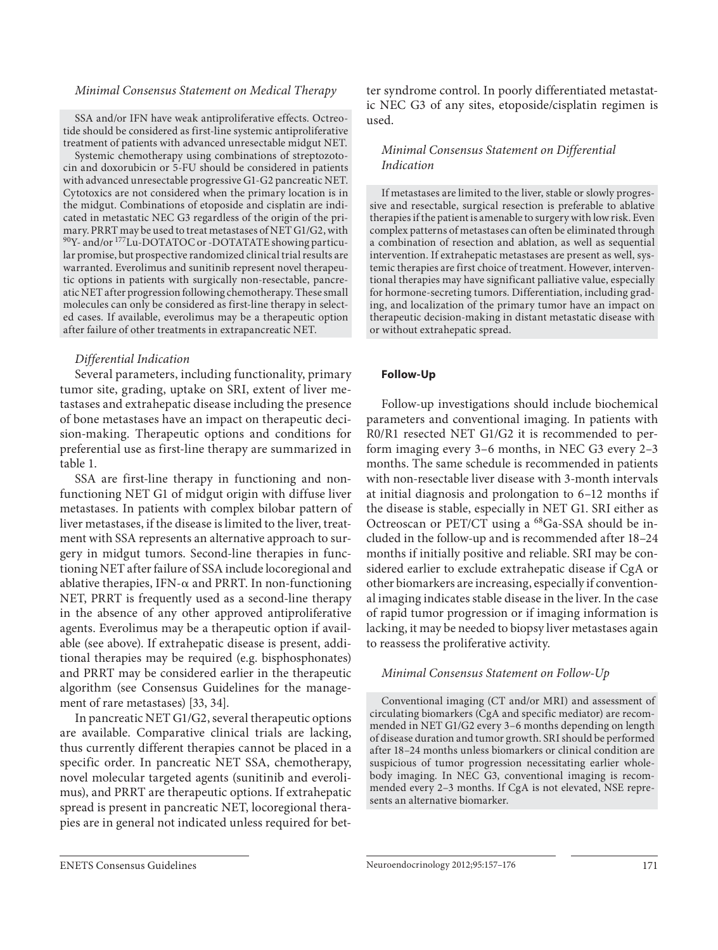#### *Minimal Consensus Statement on Medical Therapy*

 SSA and/or IFN have weak antiproliferative effects. Octreotide should be considered as first-line systemic antiproliferative treatment of patients with advanced unresectable midgut NET.

 Systemic chemotherapy using combinations of streptozotocin and doxorubicin or 5-FU should be considered in patients with advanced unresectable progressive G1-G2 pancreatic NET. Cytotoxics are not considered when the primary location is in the midgut. Combinations of etoposide and cisplatin are indicated in metastatic NEC G3 regardless of the origin of the primary. PRRT may be used to treat metastases of NET G1/G2, with <sup>90</sup>Y- and/or <sup>177</sup>Lu-DOTATOC or -DOTATATE showing particular promise, but prospective randomized clinical trial results are warranted. Everolimus and sunitinib represent novel therapeutic options in patients with surgically non-resectable, pancreatic NET after progression following chemotherapy. These small molecules can only be considered as first-line therapy in selected cases. If available, everolimus may be a therapeutic option after failure of other treatments in extrapancreatic NET.

#### *Differential Indication*

 Several parameters, including functionality, primary tumor site, grading, uptake on SRI, extent of liver metastases and extrahepatic disease including the presence of bone metastases have an impact on therapeutic decision-making. Therapeutic options and conditions for preferential use as first-line therapy are summarized in table 1.

 SSA are first-line therapy in functioning and nonfunctioning NET G1 of midgut origin with diffuse liver metastases. In patients with complex bilobar pattern of liver metastases, if the disease is limited to the liver, treatment with SSA represents an alternative approach to surgery in midgut tumors. Second-line therapies in functioning NET after failure of SSA include locoregional and ablative therapies, IFN- $\alpha$  and PRRT. In non-functioning NET, PRRT is frequently used as a second-line therapy in the absence of any other approved antiproliferative agents. Everolimus may be a therapeutic option if available (see above). If extrahepatic disease is present, additional therapies may be required (e.g. bisphosphonates) and PRRT may be considered earlier in the therapeutic algorithm (see Consensus Guidelines for the management of rare metastases) [33, 34].

 In pancreatic NET G1/G2, several therapeutic options are available. Comparative clinical trials are lacking, thus currently different therapies cannot be placed in a specific order. In pancreatic NET SSA, chemotherapy, novel molecular targeted agents (sunitinib and everolimus), and PRRT are therapeutic options. If extrahepatic spread is present in pancreatic NET, locoregional therapies are in general not indicated unless required for better syndrome control. In poorly differentiated metastatic NEC G3 of any sites, etoposide/cisplatin regimen is used.

#### *Minimal Consensus Statement on Differential Indication*

 If metastases are limited to the liver, stable or slowly progressive and resectable, surgical resection is preferable to ablative therapies if the patient is amenable to surgery with low risk. Even complex patterns of metastases can often be eliminated through a combination of resection and ablation, as well as sequential intervention. If extrahepatic metastases are present as well, systemic therapies are first choice of treatment. However, interventional therapies may have significant palliative value, especially for hormone-secreting tumors. Differentiation, including grading, and localization of the primary tumor have an impact on therapeutic decision-making in distant metastatic disease with or without extrahepatic spread.

#### **Follow-Up**

 Follow-up investigations should include biochemical parameters and conventional imaging. In patients with R0/R1 resected NET G1/G2 it is recommended to perform imaging every 3–6 months, in NEC G3 every 2–3 months. The same schedule is recommended in patients with non-resectable liver disease with 3-month intervals at initial diagnosis and prolongation to 6–12 months if the disease is stable, especially in NET G1. SRI either as Octreoscan or PET/CT using a <sup>68</sup>Ga-SSA should be included in the follow-up and is recommended after 18–24 months if initially positive and reliable. SRI may be considered earlier to exclude extrahepatic disease if CgA or other biomarkers are increasing, especially if conventional imaging indicates stable disease in the liver. In the case of rapid tumor progression or if imaging information is lacking, it may be needed to biopsy liver metastases again to reassess the proliferative activity.

#### *Minimal Consensus Statement on Follow-Up*

 Conventional imaging (CT and/or MRI) and assessment of circulating biomarkers (CgA and specific mediator) are recommended in NET G1/G2 every 3–6 months depending on length of disease duration and tumor growth. SRI should be performed after 18–24 months unless biomarkers or clinical condition are suspicious of tumor progression necessitating earlier wholebody imaging. In NEC G3, conventional imaging is recommended every 2–3 months. If CgA is not elevated, NSE represents an alternative biomarker.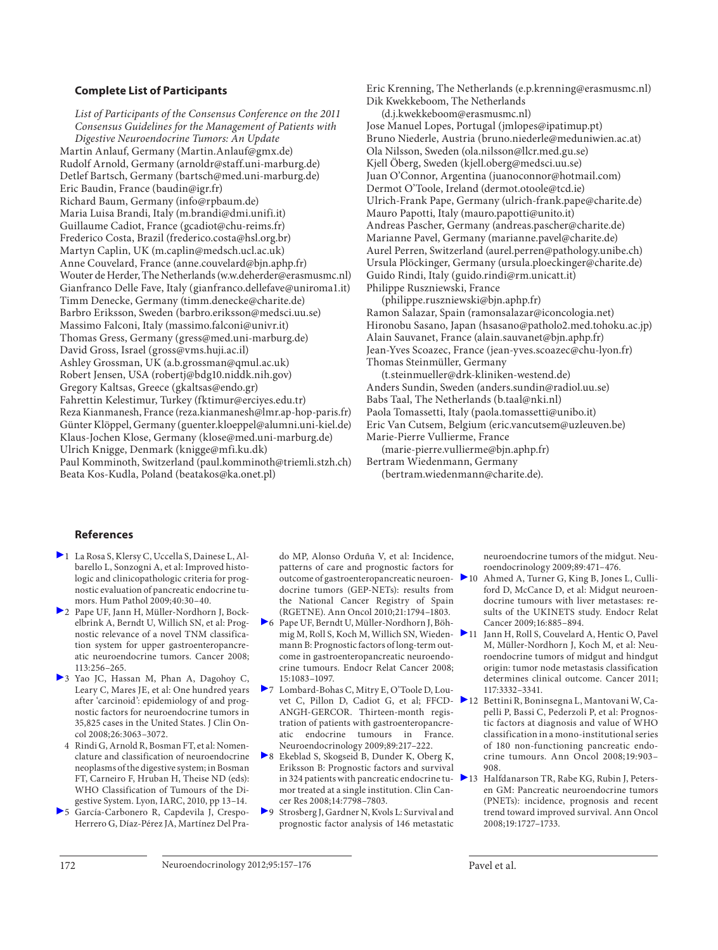#### **Complete List of Participants**

 *List of Participants of the Consensus Conference on the 2011 Consensus Guidelines for the Management of Patients with Digestive Neuroendocrine Tumors: An Update* Martin Anlauf, Germany (Martin.Anlauf@gmx.de) Rudolf Arnold, Germany (arnoldr @ staff.uni-marburg.de) Detlef Bartsch, Germany (bartsch @ med.uni-marburg.de) Eric Baudin, France (baudin@igr.fr) Richard Baum, Germany (info@rpbaum.de) Maria Luisa Brandi, Italy (m.brandi@dmi.unifi.it) Guillaume Cadiot, France (gcadiot@chu-reims.fr) Frederico Costa, Brazil (frederico.costa@hsl.org.br) Martyn Caplin, UK (m.caplin@medsch.ucl.ac.uk) Anne Couvelard, France (anne.couvelard@bjn.aphp.fr) Wouter de Herder, The Netherlands (w.w.deherder@erasmusmc.nl) Gianfranco Delle Fave, Italy (gianfranco.dellefave@uniroma1.it) Timm Denecke, Germany (timm.denecke @ charite.de) Barbro Eriksson, Sweden (barbro.eriksson@medsci.uu.se) Massimo Falconi, Italy (massimo.falconi@univr.it) Thomas Gress, Germany (gress@med.uni-marburg.de) David Gross, Israel (gross@vms.huji.ac.il) Ashley Grossman, UK (a.b.grossman@qmul.ac.uk) Robert Jensen, USA (robertj@bdg10.niddk.nih.gov) Gregory Kaltsas, Greece (gkaltsas@endo.gr) Fahrettin Kelestimur, Turkey (fktimur@erciyes.edu.tr) Reza Kianmanesh, France (reza.kianmanesh @ lmr.ap-hop-paris.fr) Günter Klöppel, Germany (guenter.kloeppel@alumni.uni-kiel.de) Klaus-Jochen Klose, Germany (klose @ med.uni-marburg.de) Ulrich Knigge, Denmark (knigge @ mfi.ku.dk) Paul Komminoth, Switzerland (paul.komminoth@triemli.stzh.ch) Beata Kos-Kudla, Poland (beatakos@ka.onet.pl)

Eric Krenning, The Netherlands (e.p.krenning@erasmusmc.nl) Dik Kwekkeboom, The Netherlands

(d.j.kwekkeboom @ erasmusmc.nl) Jose Manuel Lopes, Portugal (jmlopes @ ipatimup.pt) Bruno Niederle, Austria (bruno.niederle@meduniwien.ac.at) Ola Nilsson, Sweden (ola.nilsson @ llcr.med.gu.se) Kjell Öberg, Sweden (kjell.oberg@medsci.uu.se) Juan O'Connor, Argentina (juanoconnor@hotmail.com) Dermot O'Toole, Ireland (dermot.otoole@tcd.ie) Ulrich-Frank Pape, Germany (ulrich-frank.pape @ charite.de) Mauro Papotti, Italy (mauro.papotti@unito.it) Andreas Pascher, Germany (andreas.pascher @ charite.de) Marianne Pavel, Germany (marianne.pavel@charite.de) Aurel Perren, Switzerland (aurel.perren @ pathology.unibe.ch) Ursula Plöckinger, Germany (ursula.ploeckinger @ charite.de) Guido Rindi, Italy (guido.rindi@rm.unicatt.it) Philippe Ruszniewski, France

(philippe.ruszniewski @ bjn.aphp.fr) Ramon Salazar, Spain (ramonsalazar @ iconcologia.net) Hironobu Sasano, Japan (hsasano@patholo2.med.tohoku.ac.jp) Alain Sauvanet, France (alain.sauvanet@bjn.aphp.fr) Jean-Yves Scoazec, France (jean-yves.scoazec@chu-lyon.fr) Thomas Steinmüller, Germany

(t.steinmueller @ drk-kliniken-westend.de) Anders Sundin, Sweden (anders.sundin @ radiol.uu.se) Babs Taal, The Netherlands (b.taal@nki.nl) Paola Tomassetti, Italy (paola.tomassetti@unibo.it) Eric Van Cutsem, Belgium (eric.vancutsem @ uzleuven.be) Marie-Pierre Vullierme, France

(marie-pierre.vullierme@bjn.aphp.fr) Bertram Wiedenmann, Germany (bertram.wiedenmann @ charite.de).

#### **References**

- 1 La Rosa S, Klersy C, Uccella S, Dainese L, Albarello L, Sonzogni A, et al: Improved histologic and clinicopathologic criteria for prognostic evaluation of pancreatic endocrine tumors. Hum Pathol 2009;40:30–40.
- 2 Pape UF, Jann H, Müller-Nordhorn J, Bockelbrink A, Berndt U, Willich SN, et al: Prognostic relevance of a novel TNM classification system for upper gastroenteropancreatic neuroendocrine tumors. Cancer 2008; 113:256–265.
- 3 Yao JC, Hassan M, Phan A, Dagohoy C, Leary C, Mares JE, et al: One hundred years after 'carcinoid': epidemiology of and prognostic factors for neuroendocrine tumors in 35,825 cases in the United States. J Clin Oncol 2008;26:3063–3072.
- 4 Rindi G, Arnold R, Bosman FT, et al: Nomenclature and classification of neuroendocrine neoplasms of the digestive system; in Bosman FT, Carneiro F, Hruban H, Theise ND (eds): WHO Classification of Tumours of the Digestive System. Lyon, IARC, 2010, pp 13–14.
- 5 García-Carbonero R, Capdevila J, Crespo-Herrero G, Díaz-Pérez JA, Martínez Del Pra-

do MP, Alonso Orduña V, et al: Incidence, patterns of care and prognostic factors for docrine tumors (GEP-NETs): results from the National Cancer Registry of Spain (RGETNE). Ann Oncol 2010;21:1794–1803.

- 6 Pape UF, Berndt U, Müller-Nordhorn J, Böhmig M, Roll S, Koch M, Willich SN, Wiedenmann B: Prognostic factors of long-term outcome in gastroenteropancreatic neuroendocrine tumours. Endocr Relat Cancer 2008; 15:1083–1097.
- 7 Lombard-Bohas C, Mitry E, O'Toole D, Lou-ANGH-GERCOR. Thirteen-month registration of patients with gastroenteropancreatic endocrine tumours in France. Neuroendocrinology 2009;89:217–222.
- 8 Ekeblad S, Skogseid B, Dunder K, Oberg K, Eriksson B: Prognostic factors and survival mor treated at a single institution. Clin Cancer Res 2008;14:7798–7803.
- 9 Strosberg J, Gardner N, Kvols L: Survival and prognostic factor analysis of 146 metastatic

neuroendocrine tumors of the midgut. Neuroendocrinology 2009;89:471–476.

- outcome of gastroenteropancreatic neuroen- 10 Ahmed A, Turner G, King B, Jones L, Culliford D, McCance D, et al: Midgut neuroendocrine tumours with liver metastases: results of the UKINETS study. Endocr Relat Cancer 2009;16:885–894.
	- Jann H, Roll S, Couvelard A, Hentic O, Pavel M, Müller-Nordhorn J, Koch M, et al: Neuroendocrine tumors of midgut and hindgut origin: tumor node metastasis classification determines clinical outcome. Cancer 2011; 117:3332–3341.
- vet C, Pillon D, Cadiot G, et al; FFCD- 12 Bettini R, Boninsegna L, Mantovani W, Capelli P, Bassi C, Pederzoli P, et al: Prognostic factors at diagnosis and value of WHO classification in a mono-institutional series of 180 non-functioning pancreatic endocrine tumours. Ann Oncol 2008;19:903– 908.
- in 324 patients with pancreatic endocrine tu- 13 Halfdanarson TR, Rabe KG, Rubin J, Petersen GM: Pancreatic neuroendocrine tumors (PNETs): incidence, prognosis and recent trend toward improved survival. Ann Oncol 2008;19:1727–1733.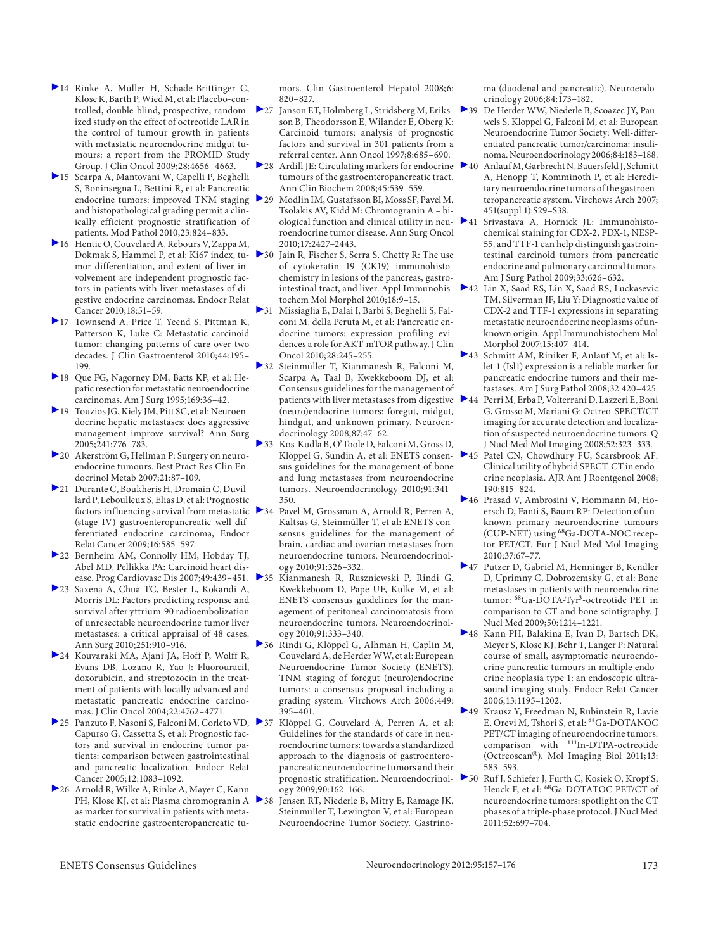- 14 Rinke A, Muller H, Schade-Brittinger C, Klose K, Barth P, Wied M, et al: Placebo-controlled, double-blind, prospective, randomized study on the effect of octreotide LAR in the control of tumour growth in patients with metastatic neuroendocrine midgut tumours: a report from the PROMID Study Group. J Clin Oncol 2009;28:4656–4663.
- 15 Scarpa A, Mantovani W, Capelli P, Beghelli S, Boninsegna L, Bettini R, et al: Pancreatic endocrine tumors: improved TNM staging and histopathological grading permit a clinically efficient prognostic stratification of patients. Mod Pathol 2010;23:824–833.
- 16 Hentic O, Couvelard A, Rebours V, Zappa M, Dokmak S, Hammel P, et al: Ki67 index, tu- $\geq 30$ mor differentiation, and extent of liver involvement are independent prognostic factors in patients with liver metastases of digestive endocrine carcinomas. Endocr Relat Cancer 2010;18:51–59.
- 17 Townsend A, Price T, Yeend S, Pittman K, Patterson K, Luke C: Metastatic carcinoid tumor: changing patterns of care over two decades. J Clin Gastroenterol 2010;44:195– 199.
- 18 Que FG, Nagorney DM, Batts KP, et al: Hepatic resection for metastatic neuroendocrine carcinomas. Am J Surg 1995;169:36–42.
- 19 Touzios JG, Kiely JM, Pitt SC, et al: Neuroendocrine hepatic metastases: does aggressive management improve survival? Ann Surg 2005;241:776–783.
- 20 Akerström G, Hellman P: Surgery on neuroendocrine tumours. Best Pract Res Clin Endocrinol Metab 2007;21:87–109.
- 21 Durante C, Boukheris H, Dromain C, Duvillard P, Leboulleux S, Elias D, et al: Prognostic (stage IV) gastroenteropancreatic well-differentiated endocrine carcinoma, Endocr Relat Cancer 2009;16:585–597.
- 22 Bernheim AM, Connolly HM, Hobday TJ, Abel MD, Pellikka PA: Carcinoid heart disease. Prog Cardiovasc Dis 2007;49:439-451. 235
- 23 Saxena A, Chua TC, Bester L, Kokandi A, Morris DL: Factors predicting response and survival after yttrium-90 radioembolization of unresectable neuroendocrine tumor liver metastases: a critical appraisal of 48 cases. Ann Surg 2010;251:910–916.
- 24 Kouvaraki MA, Ajani JA, Hoff P, Wolff R, Evans DB, Lozano R, Yao J: Fluorouracil, doxorubicin, and streptozocin in the treatment of patients with locally advanced and metastatic pancreatic endocrine carcinomas. J Clin Oncol 2004;22:4762–4771.
- ▶ 25 Panzuto F, Nasoni S, Falconi M, Corleto VD, ▶ 37 Capurso G, Cassetta S, et al: Prognostic factors and survival in endocrine tumor patients: comparison between gastrointestinal and pancreatic localization. Endocr Relat Cancer 2005;12:1083–1092.
- 26 Arnold R, Wilke A, Rinke A, Mayer C, Kann PH, Klose KJ, et al: Plasma chromogranin A 38 as marker for survival in patients with metastatic endocrine gastroenteropancreatic tu-

mors. Clin Gastroenterol Hepatol 2008;6: 820–827.

- Janson ET, Holmberg L, Stridsberg M, Eriks- $\geq 39$ son B, Theodorsson E, Wilander E, Oberg K: Carcinoid tumors: analysis of prognostic factors and survival in 301 patients from a referral center. Ann Oncol 1997;8:685–690.
- ▶ 28 Ardill JE: Circulating markers for endocrine ▶ 40 tumours of the gastroenteropancreatic tract. Ann Clin Biochem 2008;45:539–559.
- 29 Modlin IM, Gustafsson BI, Moss SF, Pavel M, Tsolakis AV, Kidd M: Chromogranin A – biroendocrine tumor disease. Ann Surg Oncol 2010;17:2427–2443.
- Jain R, Fischer S, Serra S, Chetty R: The use of cytokeratin 19 (CK19) immunohistochemistry in lesions of the pancreas, gastrointestinal tract, and liver. Appl Immunohistochem Mol Morphol 2010;18:9–15.
- 31 Missiaglia E, Dalai I, Barbi S, Beghelli S, Falconi M, della Peruta M, et al: Pancreatic endocrine tumors: expression profiling evidences a role for AKT-mTOR pathway. J Clin Oncol 2010;28:245–255.
- 32 Steinmüller T, Kianmanesh R, Falconi M, Scarpa A, Taal B, Kwekkeboom DJ, et al: Consensus guidelines for the management of (neuro)endocrine tumors: foregut, midgut, hindgut, and unknown primary. Neuroendocrinology 2008;87:47–62.
- 33 Kos-Kudla B, O'Toole D, Falconi M, Gross D, Klöppel G, Sundin A, et al: ENETS consensus guidelines for the management of bone and lung metastases from neuroendocrine tumors. Neuroendocrinology 2010;91:341– 350.
- factors influencing survival from metastatic 34 Pavel M, Grossman A, Arnold R, Perren A, Kaltsas G, Steinmüller T, et al: ENETS consensus guidelines for the management of brain, cardiac and ovarian metastases from neuroendocrine tumors. Neuroendocrinology 2010;91:326–332.
	- 35 Kianmanesh R, Ruszniewski P, Rindi G, Kwekkeboom D, Pape UF, Kulke M, et al: ENETS consensus guidelines for the management of peritoneal carcinomatosis from neuroendocrine tumors. Neuroendocrinology 2010;91:333–340.
	- 36 Rindi G, Klöppel G, Alhman H, Caplin M, Couvelard A, de Herder WW, et al: European Neuroendocrine Tumor Society (ENETS). TNM staging of foregut (neuro)endocrine tumors: a consensus proposal including a grading system. Virchows Arch 2006;449: 395–401.
	- 37 Klöppel G, Couvelard A, Perren A, et al: Guidelines for the standards of care in neuroendocrine tumors: towards a standardized approach to the diagnosis of gastroenteropancreatic neuroendocrine tumors and their ogy 2009;90:162–166.
	- Jensen RT, Niederle B, Mitry E, Ramage JK, Steinmuller T, Lewington V, et al: European Neuroendocrine Tumor Society. Gastrino-

ma (duodenal and pancreatic). Neuroendocrinology 2006;84:173–182.

- De Herder WW, Niederle B, Scoazec JY, Pauwels S, Kloppel G, Falconi M, et al: European Neuroendocrine Tumor Society: Well-differentiated pancreatic tumor/carcinoma: insulinoma. Neuroendocrinology 2006;84:183–188.
- Anlauf M, Garbrecht N, Bauersfeld J, Schmitt A, Henopp T, Komminoth P, et al: Hereditary neuroendocrine tumors of the gastroenteropancreatic system. Virchows Arch 2007; 451(suppl 1):S29–S38.
- ological function and clinical utility in neu- 41 Srivastava A, Hornick JL: Immunohistochemical staining for CDX-2, PDX-1, NESP-55, and TTF-1 can help distinguish gastrointestinal carcinoid tumors from pancreatic endocrine and pulmonary carcinoid tumors. Am J Surg Pathol 2009;33:626–632.
	- 42 Lin X, Saad RS, Lin X, Saad RS, Luckasevic TM, Silverman JF, Liu Y: Diagnostic value of CDX-2 and TTF-1 expressions in separating metastatic neuroendocrine neoplasms of unknown origin. Appl Immunohistochem Mol Morphol 2007;15:407–414.
	- 43 Schmitt AM, Riniker F, Anlauf M, et al: Islet-1 (Isl1) expression is a reliable marker for pancreatic endocrine tumors and their metastases. Am J Surg Pathol 2008;32:420–425.
- patients with liver metastases from digestive 44 Perri M, Erba P, Volterrani D, Lazzeri E, Boni G, Grosso M, Mariani G: Octreo-SPECT/CT imaging for accurate detection and localization of suspected neuroendocrine tumors. Q J Nucl Med Mol Imaging 2008;52:323–333.
	- 45 Patel CN, Chowdhury FU, Scarsbrook AF: Clinical utility of hybrid SPECT-CT in endocrine neoplasia. AJR Am J Roentgenol 2008; 190:815–824.
	- 46 Prasad V, Ambrosini V, Hommann M, Hoersch D, Fanti S, Baum RP: Detection of unknown primary neuroendocrine tumours (CUP-NET) using <sup>68</sup>Ga-DOTA-NOC receptor PET/CT. Eur J Nucl Med Mol Imaging 2010;37:67–77.
	- 47 Putzer D, Gabriel M, Henninger B, Kendler D, Uprimny C, Dobrozemsky G, et al: Bone metastases in patients with neuroendocrine tumor:  ${}^{68}Ga-\overline{D}OTA$ -Tyr<sup>3</sup>-octreotide PET in comparison to CT and bone scintigraphy. J Nucl Med 2009;50:1214–1221.
	- 48 Kann PH, Balakina E, Ivan D, Bartsch DK, Meyer S, Klose KJ, Behr T, Langer P: Natural course of small, asymptomatic neuroendocrine pancreatic tumours in multiple endocrine neoplasia type 1: an endoscopic ultrasound imaging study. Endocr Relat Cancer 2006;13:1195–1202.
	- 49 Krausz Y, Freedman N, Rubinstein R, Lavie E, Orevi M, Tshori S, et al: 68Ga-DOTANOC PET/CT imaging of neuroendocrine tumors: comparison with <sup>111</sup>In-DTPA-octreotide (Octreoscan®). Mol Imaging Biol 2011;13: 583–593.
- prognostic stratification. Neuroendocrinol- 50 Ruf J, Schiefer J, Furth C, Kosiek O, Kropf S, Heuck F, et al: <sup>68</sup>Ga-DOTATOC PET/CT of neuroendocrine tumors: spotlight on the CT phases of a triple-phase protocol. J Nucl Med 2011;52:697–704.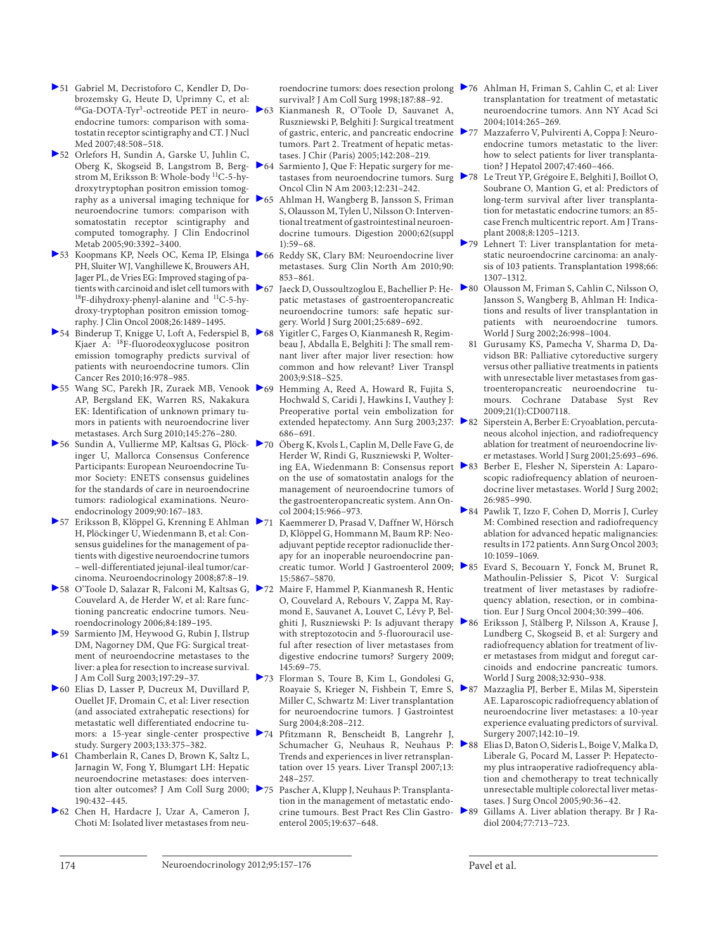- 51 Gabriel M, Decristoforo C, Kendler D, Dobrozemsky G, Heute D, Uprimny C, et al: <sup>68</sup>Ga-DOTA-Tyr<sup>3</sup>-octreotide PET in neuroendocrine tumors: comparison with somatostatin receptor scintigraphy and CT. J Nucl Med 2007;48:508–518.
- 52 Orlefors H, Sundin A, Garske U, Juhlin C, Oberg K, Skogseid B, Langstrom B, Bergstrom M, Eriksson B: Whole-body <sup>11</sup>C-5-hydroxytryptophan positron emission tomography as a universal imaging technique for  $\geq 65$ neuroendocrine tumors: comparison with somatostatin receptor scintigraphy and computed tomography. J Clin Endocrinol Metab 2005;90:3392–3400.
- PH, Sluiter WJ, Vanghillewe K, Brouwers AH, Jager PL, de Vries EG: Improved staging of pa- $^{18}$ F-dihydroxy-phenyl-alanine and  $^{11}$ C-5-hydroxy-tryptophan positron emission tomography. J Clin Oncol 2008;26:1489–1495.
- ▶ 54 Binderup T, Knigge U, Loft A, Federspiel B, ▶ 68 Kjaer A: <sup>18</sup>F-fluorodeoxyglucose positron emission tomography predicts survival of patients with neuroendocrine tumors. Clin Cancer Res 2010;16:978–985.
- AP, Bergsland EK, Warren RS, Nakakura EK: Identification of unknown primary tumors in patients with neuroendocrine liver metastases. Arch Surg 2010;145:276–280.
- ▶ 56 Sundin A, Vullierme MP, Kaltsas G, Plöck- ▶ 70 inger U, Mallorca Consensus Conference Participants: European Neuroendocrine Tumor Society: ENETS consensus guidelines for the standards of care in neuroendocrine tumors: radiological examinations. Neuroendocrinology 2009;90:167–183.
- ▶ 57 Eriksson B, Klöppel G, Krenning E Ahlman ▶ 71 H, Plöckinger U, Wiedenmann B, et al: Consensus guidelines for the management of patients with digestive neuroendocrine tumors – well-differentiated jejunal-ileal tumor/carcinoma. Neuroendocrinology 2008;87:8–19.
- Couvelard A, de Herder W, et al: Rare functioning pancreatic endocrine tumors. Neuroendocrinology 2006;84:189–195.
- 59 Sarmiento JM, Heywood G, Rubin J, Ilstrup DM, Nagorney DM, Que FG: Surgical treatment of neuroendocrine metastases to the liver: a plea for resection to increase survival. J Am Coll Surg 2003;197:29–37.
- 60 Elias D, Lasser P, Ducreux M, Duvillard P, Ouellet JF, Dromain C, et al: Liver resection (and associated extrahepatic resections) for metastatic well differentiated endocrine tumors: a 15-year single-center prospective >74 study. Surgery 2003;133:375–382.
- 61 Chamberlain R, Canes D, Brown K, Saltz L, Jarnagin W, Fong Y, Blumgart LH: Hepatic neuroendocrine metastases: does interven-190:432–445.
- 62 Chen H, Hardacre J, Uzar A, Cameron J, Choti M: Isolated liver metastases from neu-

survival? J Am Coll Surg 1998;187:88–92.

- 63 Kianmanesh R, O'Toole D, Sauvanet A, Ruszniewski P, Belghiti J: Surgical treatment of gastric, enteric, and pancreatic endocrine tumors. Part 2. Treatment of hepatic metastases. J Chir (Paris) 2005;142:208–219.
- 64 Sarmiento J, Que F: Hepatic surgery for metastases from neuroendocrine tumors. Surg 78 Oncol Clin N Am 2003;12:231–242.
- 65 Ahlman H, Wangberg B, Jansson S, Friman S, Olausson M, Tylen U, Nilsson O: Interventional treatment of gastrointestinal neuroendocrine tumours. Digestion 2000;62(suppl 1):59–68.
- 53 Koopmans KP, Neels OC, Kema IP, Elsinga 66 Reddy SK, Clary BM: Neuroendocrine liver metastases. Surg Clin North Am 2010;90: 853–861.
	- tients with carcinoid and islet cell tumors with  $\triangleright$  67 Jaeck D, Oussoultzoglou E, Bachellier P: He- $\triangleright$ 80 Olausson M, Friman S, Cahlin C, Nilsson O, patic metastases of gastroenteropancreatic neuroendocrine tumors: safe hepatic surgery. World J Surg 2001;25:689–692.
		- Yigitler C, Farges O, Kianmanesh R, Regimbeau J, Abdalla E, Belghiti J: The small remnant liver after major liver resection: how common and how relevant? Liver Transpl 2003;9:S18–S25.
- 55 Wang SC, Parekh JR, Zuraek MB, Venook 69 Hemming A, Reed A, Howard R, Fujita S, Hochwald S, Caridi J, Hawkins I, Vauthey J: Preoperative portal vein embolization for 686–691.
	- Öberg K, Kvols L, Caplin M, Delle Fave G, de Herder W, Rindi G, Ruszniewski P, Woltering EA, Wiedenmann B: Consensus report on the use of somatostatin analogs for the management of neuroendocrine tumors of the gastroenteropancreatic system. Ann Oncol 2004;15:966–973.
	- Kaemmerer D, Prasad V, Daffner W, Hörsch D, Klöppel G, Hommann M, Baum RP: Neoadjuvant peptide receptor radionuclide therapy for an inoperable neuroendocrine pancreatic tumor. World J Gastroenterol 2009; 85 15:5867–5870.
- 58 O'Toole D, Salazar R, Falconi M, Kaltsas G, 72 Maire F, Hammel P, Kianmanesh R, Hentic O, Couvelard A, Rebours V, Zappa M, Raymond E, Sauvanet A, Louvet C, Lévy P, Belghiti J, Ruszniewski P: Is adjuvant therapy  $\geq 86$ with streptozotocin and 5-fluorouracil useful after resection of liver metastases from digestive endocrine tumors? Surgery 2009; 145:69–75.
	- 73 Florman S, Toure B, Kim L, Gondolesi G, Roayaie S, Krieger N, Fishbein T, Emre S, Miller C, Schwartz M: Liver transplantation for neuroendocrine tumors. J Gastrointest Surg 2004;8:208–212.
	- 74 Pfitzmann R, Benscheidt B, Langrehr J, Schumacher G, Neuhaus R, Neuhaus P: Trends and experiences in liver retransplantation over 15 years. Liver Transpl 2007;13: 248–257.
	- tion alter outcomes? J Am Coll Surg 2000;  $\triangleright$  75 Pascher A, Klupp J, Neuhaus P: Transplantation in the management of metastatic endocrine tumours. Best Pract Res Clin Gastroenterol 2005;19:637–648.
- roendocrine tumors: does resection prolong 76 Ahlman H, Friman S, Cahlin C, et al: Liver transplantation for treatment of metastatic neuroendocrine tumors. Ann NY Acad Sci 2004;1014:265–269.
	- Mazzaferro V, Pulvirenti A, Coppa J: Neuroendocrine tumors metastatic to the liver: how to select patients for liver transplantation? J Hepatol 2007;47:460–466.
	- Le Treut YP, Grégoire E, Belghiti J, Boillot O, Soubrane O, Mantion G, et al: Predictors of long-term survival after liver transplantation for metastatic endocrine tumors: an 85 case French multicentric report. Am J Transplant 2008;8:1205–1213.
	- 79 Lehnert T: Liver transplantation for metastatic neuroendocrine carcinoma: an analysis of 103 patients. Transplantation 1998;66: 1307–1312.
		- Jansson S, Wangberg B, Ahlman H: Indications and results of liver transplantation in patients with neuroendocrine tumors. World J Surg 2002;26:998–1004.
		- 81 Gurusamy KS, Pamecha V, Sharma D, Davidson BR: Palliative cytoreductive surgery versus other palliative treatments in patients with unresectable liver metastases from gastroenteropancreatic neuroendocrine tumours. Cochrane Database Syst Rev 2009;21(1):CD007118.
- extended hepatectomy. Ann Surg 2003;237: 82 Siperstein A, Berber E: Cryoablation, percutaneous alcohol injection, and radiofrequency ablation for treatment of neuroendocrine liver metastases. World J Surg 2001;25:693–696.
	- Berber E, Flesher N, Siperstein A: Laparoscopic radiofrequency ablation of neuroendocrine liver metastases. World J Surg 2002; 26:985–990.
	- 84 Pawlik T, Izzo F, Cohen D, Morris J, Curley M: Combined resection and radiofrequency ablation for advanced hepatic malignancies: results in 172 patients. Ann Surg Oncol 2003; 10:1059–1069.
		- Evard S, Becouarn Y, Fonck M, Brunet R, Mathoulin-Pelissier S, Picot V: Surgical treatment of liver metastases by radiofrequency ablation, resection, or in combination. Eur J Surg Oncol 2004;30:399–406.
		- 86 Eriksson J, Stålberg P, Nilsson A, Krause J, Lundberg C, Skogseid B, et al: Surgery and radiofrequency ablation for treatment of liver metastases from midgut and foregut carcinoids and endocrine pancreatic tumors. World J Surg 2008;32:930–938.
	- 87 Mazzaglia PJ, Berber E, Milas M, Siperstein AE. Laparoscopic radiofrequency ablation of neuroendocrine liver metastases: a 10-year experience evaluating predictors of survival. Surgery 2007;142:10–19.
		- Elias D, Baton O, Sideris L, Boige V, Malka D, Liberale G, Pocard M, Lasser P: Hepatectomy plus intraoperative radiofrequency ablation and chemotherapy to treat technically unresectable multiple colorectal liver metastases. J Surg Oncol 2005;90:36–42.
		- Gillams A. Liver ablation therapy. Br J Radiol 2004;77:713–723.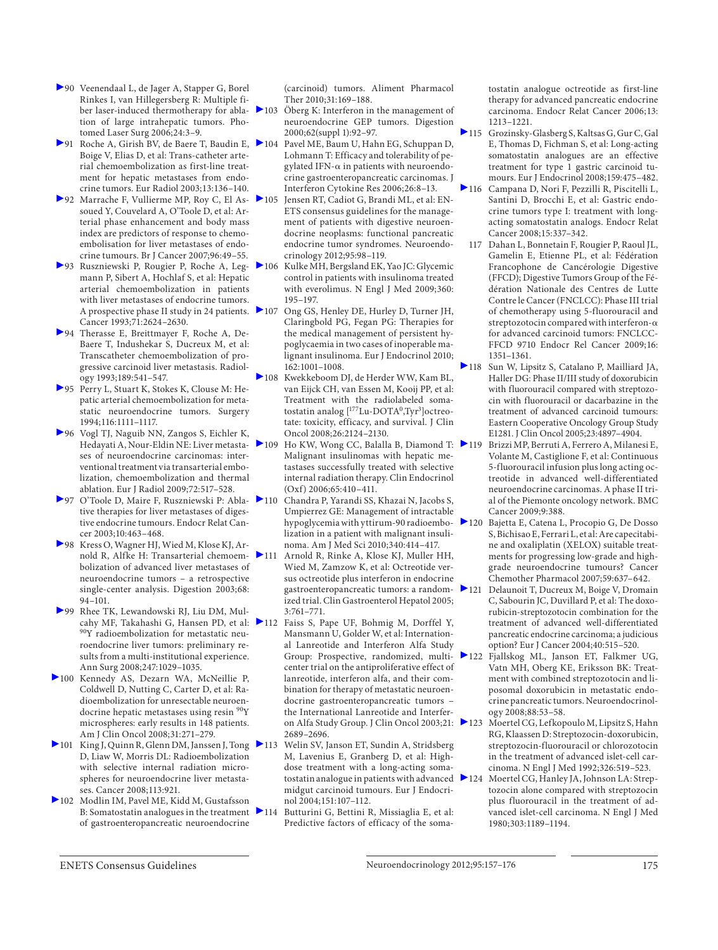- 90 Veenendaal L, de Jager A, Stapper G, Borel Rinkes I, van Hillegersberg R: Multiple fiber laser-induced thermotherapy for ablation of large intrahepatic tumors. Photomed Laser Surg 2006;24:3–9.
- Boige V, Elias D, et al: Trans-catheter arterial chemoembolization as first-line treatment for hepatic metastases from endocrine tumors. Eur Radiol 2003;13:136–140.
- 92 Marrache F, Vullierme MP, Roy C, El Assoued Y, Couvelard A, O'Toole D, et al: Arterial phase enhancement and body mass index are predictors of response to chemoembolisation for liver metastases of endocrine tumours. Br J Cancer 2007;96:49–55.
- 93 Ruszniewski P, Rougier P, Roche A, Legmann P, Sibert A, Hochlaf S, et al: Hepatic arterial chemoembolization in patients with liver metastases of endocrine tumors. A prospective phase II study in 24 patients. 2107 Cancer 1993;71:2624–2630.
- 94 Therasse E, Breittmayer F, Roche A, De-Baere T, Indushekar S, Ducreux M, et al: Transcatheter chemoembolization of progressive carcinoid liver metastasis. Radiology 1993;189:541–547.
- 95 Perry L, Stuart K, Stokes K, Clouse M: Hepatic arterial chemoembolization for metastatic neuroendocrine tumors. Surgery 1994;116:1111–1117.
- 96 Vogl TJ, Naguib NN, Zangos S, Eichler K, Hedayati A, Nour-Eldin NE: Liver metasta- 209 ses of neuroendocrine carcinomas: interventional treatment via transarterial embolization, chemoembolization and thermal ablation. Eur J Radiol 2009;72:517–528.
- ▶ 97 O'Toole D, Maire F, Ruszniewski P: Abla- ▶ 110 tive therapies for liver metastases of digestive endocrine tumours. Endocr Relat Cancer 2003;10:463–468.
- 98 Kress O, Wagner HJ, Wied M, Klose KJ, Arnold R, Alfke H: Transarterial chemoem- 111 bolization of advanced liver metastases of neuroendocrine tumors – a retrospective single-center analysis. Digestion 2003;68: 94–101.
- 99 Rhee TK, Lewandowski RJ, Liu DM, Mul-<sup>90</sup>Y radioembolization for metastatic neuroendocrine liver tumors: preliminary results from a multi-institutional experience. Ann Surg 2008;247:1029–1035.
- 100 Kennedy AS, Dezarn WA, McNeillie P, Coldwell D, Nutting C, Carter D, et al: Radioembolization for unresectable neuroendocrine hepatic metastases using resin <sup>90</sup>Y microspheres: early results in 148 patients. Am J Clin Oncol 2008;31:271–279.
- ▶ 101 King J, Quinn R, Glenn DM, Janssen J, Tong ▶ 113 D, Liaw W, Morris DL: Radioembolization with selective internal radiation microspheres for neuroendocrine liver metastases. Cancer 2008;113:921.
- 102 Modlin IM, Pavel ME, Kidd M, Gustafsson B: Somatostatin analogues in the treatment 2114 of gastroenteropancreatic neuroendocrine

(carcinoid) tumors. Aliment Pharmacol Ther 2010;31:169–188.

- 103 Öberg K: Interferon in the management of neuroendocrine GEP tumors. Digestion 2000;62(suppl 1):92–97.
- 91 Roche A, Girish BV, de Baere T, Baudin E, 104 Pavel ME, Baum U, Hahn EG, Schuppan D, Lohmann T: Efficacy and tolerability of pe $gylated IFN- $\alpha$  in patients with neuroendo$ crine gastroenteropancreatic carcinomas. J Interferon Cytokine Res 2006;26:8–13.
	- 105 Jensen RT, Cadiot G, Brandi ML, et al: EN-ETS consensus guidelines for the management of patients with digestive neuroendocrine neoplasms: functional pancreatic endocrine tumor syndromes. Neuroendocrinology 2012;95:98–119.
	- 106 Kulke MH, Bergsland EK, Yao JC: Glycemic control in patients with insulinoma treated with everolimus. N Engl J Med 2009;360: 195–197.
		- Ong GS, Henley DE, Hurley D, Turner JH, Claringbold PG, Fegan PG: Therapies for the medical management of persistent hypoglycaemia in two cases of inoperable malignant insulinoma. Eur J Endocrinol 2010; 162:1001–1008.
	- 108 Kwekkeboom DJ, de Herder WW, Kam BL, van Eijck CH, van Essen M, Kooij PP, et al: Treatment with the radiolabeled somatostatin analog [<sup>177</sup>Lu-DOTA<sup>0</sup>,Tyr<sup>3</sup>]octreotate: toxicity, efficacy, and survival. J Clin Oncol 2008;26:2124–2130.
		- Ho KW, Wong CC, Balalla B, Diamond T: ▶119 Malignant insulinomas with hepatic metastases successfully treated with selective internal radiation therapy. Clin Endocrinol (Oxf) 2006;65:410–411.
	- Chandra P, Yarandi SS, Khazai N, Jacobs S, Umpierrez GE: Management of intractable lization in a patient with malignant insulinoma. Am J Med Sci 2010;340:414–417.
	- Arnold R, Rinke A, Klose KJ, Muller HH, Wied M, Zamzow K, et al: Octreotide versus octreotide plus interferon in endocrine gastroenteropancreatic tumors: a randomized trial. Clin Gastroenterol Hepatol 2005; 3:761–771.
	- cahy MF, Takahashi G, Hansen PD, et al: 112 Faiss S, Pape UF, Bohmig M, Dorffel Y, Mansmann U, Golder W, et al: International Lanreotide and Interferon Alfa Study Group: Prospective, randomized, multicenter trial on the antiproliferative effect of lanreotide, interferon alfa, and their combination for therapy of metastatic neuroendocrine gastroenteropancreatic tumors – the International Lanreotide and Interferon Alfa Study Group. J Clin Oncol 2003;21: 2689–2696.
		- 113 Welin SV, Janson ET, Sundin A, Stridsberg M, Lavenius E, Granberg D, et al: Highdose treatment with a long-acting somamidgut carcinoid tumours. Eur J Endocrinol 2004;151:107–112.
		- Butturini G, Bettini R, Missiaglia E, et al: Predictive factors of efficacy of the soma-

tostatin analogue octreotide as first-line therapy for advanced pancreatic endocrine carcinoma. Endocr Relat Cancer 2006;13: 1213–1221.

- 115 Grozinsky-Glasberg S, Kaltsas G, Gur C, Gal E, Thomas D, Fichman S, et al: Long-acting somatostatin analogues are an effective treatment for type 1 gastric carcinoid tumours. Eur J Endocrinol 2008;159:475–482.
- 116 Campana D, Nori F, Pezzilli R, Piscitelli L, Santini D, Brocchi E, et al: Gastric endocrine tumors type I: treatment with longacting somatostatin analogs. Endocr Relat Cancer 2008;15:337–342.
- 117 Dahan L, Bonnetain F, Rougier P, Raoul JL, Gamelin E, Etienne PL, et al: Fédération Francophone de Cancérologie Digestive (FFCD); Digestive Tumors Group of the Fédération Nationale des Centres de Lutte Contre le Cancer (FNCLCC): Phase III trial of chemotherapy using 5-fluorouracil and streptozotocin compared with interferon- $\alpha$ for advanced carcinoid tumors: FNCLCC-FFCD 9710 Endocr Rel Cancer 2009;16: 1351–1361.
- 118 Sun W, Lipsitz S, Catalano P, Mailliard JA, Haller DG: Phase II/III study of doxorubicin with fluorouracil compared with streptozocin with fluorouracil or dacarbazine in the treatment of advanced carcinoid tumours: Eastern Cooperative Oncology Group Study E1281. J Clin Oncol 2005;23:4897–4904.
	- Brizzi MP, Berruti A, Ferrero A, Milanesi E, Volante M, Castiglione F, et al: Continuous 5-fluorouracil infusion plus long acting octreotide in advanced well-differentiated neuroendocrine carcinomas. A phase II trial of the Piemonte oncology network. BMC Cancer 2009;9:388.
- hypoglycemia with yttirum-90 radioembo- 120 Bajetta E, Catena L, Procopio G, De Dosso S, Bichisao E, Ferrari L, et al: Are capecitabine and oxaliplatin (XELOX) suitable treatments for progressing low-grade and highgrade neuroendocrine tumours? Cancer Chemother Pharmacol 2007;59:637–642.
	- Delaunoit T, Ducreux M, Boige V, Dromain C, Sabourin JC, Duvillard P, et al: The doxorubicin-streptozotocin combination for the treatment of advanced well-differentiated pancreatic endocrine carcinoma; a judicious option? Eur J Cancer 2004;40:515–520.
	- 122 Fjallskog ML, Janson ET, Falkmer UG, Vatn MH, Oberg KE, Eriksson BK: Treatment with combined streptozotocin and liposomal doxorubicin in metastatic endocrine pancreatic tumors. Neuroendocrinology 2008;88:53–58.
	- Moertel CG, Lefkopoulo M, Lipsitz S, Hahn RG, Klaassen D: Streptozocin-doxorubicin, streptozocin-fluorouracil or chlorozotocin in the treatment of advanced islet-cell carcinoma. N Engl J Med 1992;326:519–523.
- tostatin analogue in patients with advanced [124 Moertel CG, Hanley JA, Johnson LA: Streptozocin alone compared with streptozocin plus fluorouracil in the treatment of advanced islet-cell carcinoma. N Engl J Med 1980;303:1189–1194.